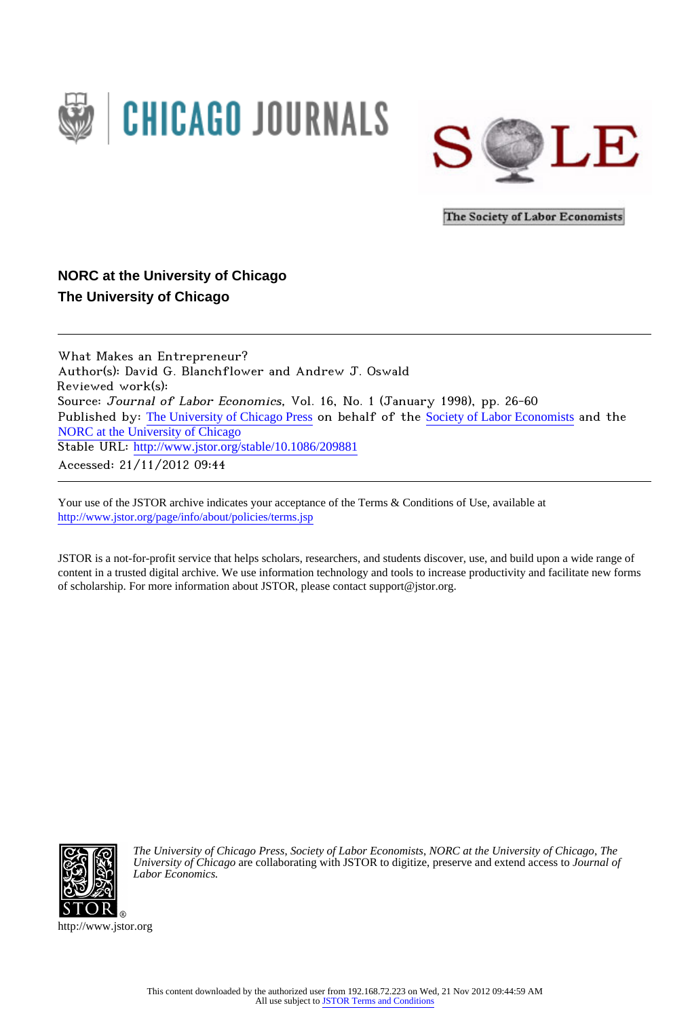



The Society of Labor Economists

# **NORC at the University of Chicago The University of Chicago**

What Makes an Entrepreneur? Author(s): David G. Blanchflower and Andrew J. Oswald Reviewed work(s): Source: Journal of Labor Economics, Vol. 16, No. 1 (January 1998), pp. 26-60 Published by: [The University of Chicago Press](http://www.jstor.org/action/showPublisher?publisherCode=ucpress) on behalf of the [Society of Labor Economists](http://www.jstor.org/action/showPublisher?publisherCode=sle) and the [NORC at the University of Chicago](http://www.jstor.org/action/showPublisher?publisherCode=norc) Stable URL: http://www.jstor.org/stable/10.1086/209881 Accessed: 21/11/2012 09:44

Your use of the JSTOR archive indicates your acceptance of the Terms & Conditions of Use, available at <http://www.jstor.org/page/info/about/policies/terms.jsp>

JSTOR is a not-for-profit service that helps scholars, researchers, and students discover, use, and build upon a wide range of content in a trusted digital archive. We use information technology and tools to increase productivity and facilitate new forms of scholarship. For more information about JSTOR, please contact support@jstor.org.



*The University of Chicago Press*, *Society of Labor Economists*, *NORC at the University of Chicago*, *The University of Chicago* are collaborating with JSTOR to digitize, preserve and extend access to *Journal of Labor Economics.*

http://www.jstor.org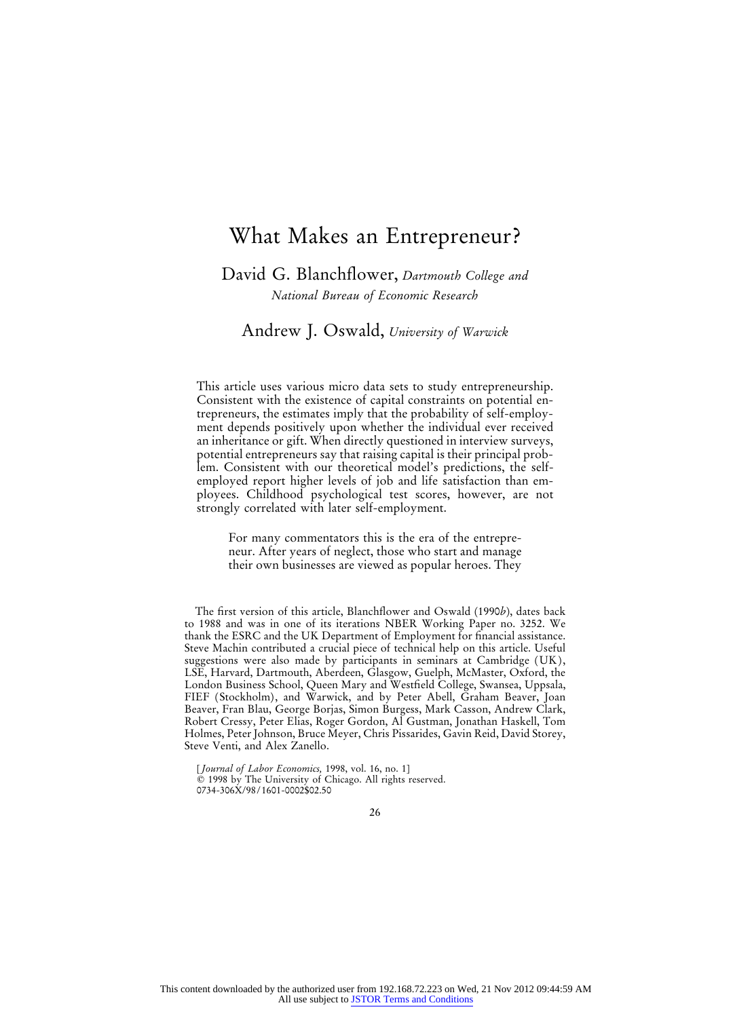# What Makes an Entrepreneur?

David G. Blanchflower, *Dartmouth College and National Bureau of Economic Research*

Andrew J. Oswald, *University of Warwick*

This article uses various micro data sets to study entrepreneurship. Consistent with the existence of capital constraints on potential entrepreneurs, the estimates imply that the probability of self-employment depends positively upon whether the individual ever received an inheritance or gift. When directly questioned in interview surveys, potential entrepreneurs say that raising capital is their principal problem. Consistent with our theoretical model's predictions, the selfemployed report higher levels of job and life satisfaction than employees. Childhood psychological test scores, however, are not strongly correlated with later self-employment.

For many commentators this is the era of the entrepreneur. After years of neglect, those who start and manage their own businesses are viewed as popular heroes. They

The first version of this article, Blanchflower and Oswald (1990*b*), dates back to 1988 and was in one of its iterations NBER Working Paper no. 3252. We thank the ESRC and the UK Department of Employment for financial assistance. Steve Machin contributed a crucial piece of technical help on this article. Useful suggestions were also made by participants in seminars at Cambridge (UK), LSE, Harvard, Dartmouth, Aberdeen, Glasgow, Guelph, McMaster, Oxford, the London Business School, Queen Mary and Westfield College, Swansea, Uppsala, FIEF (Stockholm), and Warwick, and by Peter Abell, Graham Beaver, Joan Beaver, Fran Blau, George Borjas, Simon Burgess, Mark Casson, Andrew Clark, Robert Cressy, Peter Elias, Roger Gordon, Al Gustman, Jonathan Haskell, Tom Holmes, Peter Johnson, Bruce Meyer, Chris Pissarides, Gavin Reid, David Storey, Steve Venti, and Alex Zanello.

[ *Journal of Labor Economics,* 1998, vol. 16, no. 1]  $©$  1998 by The University of Chicago. All rights reserved. 0734-306X/98/1601-0002\$02.50

26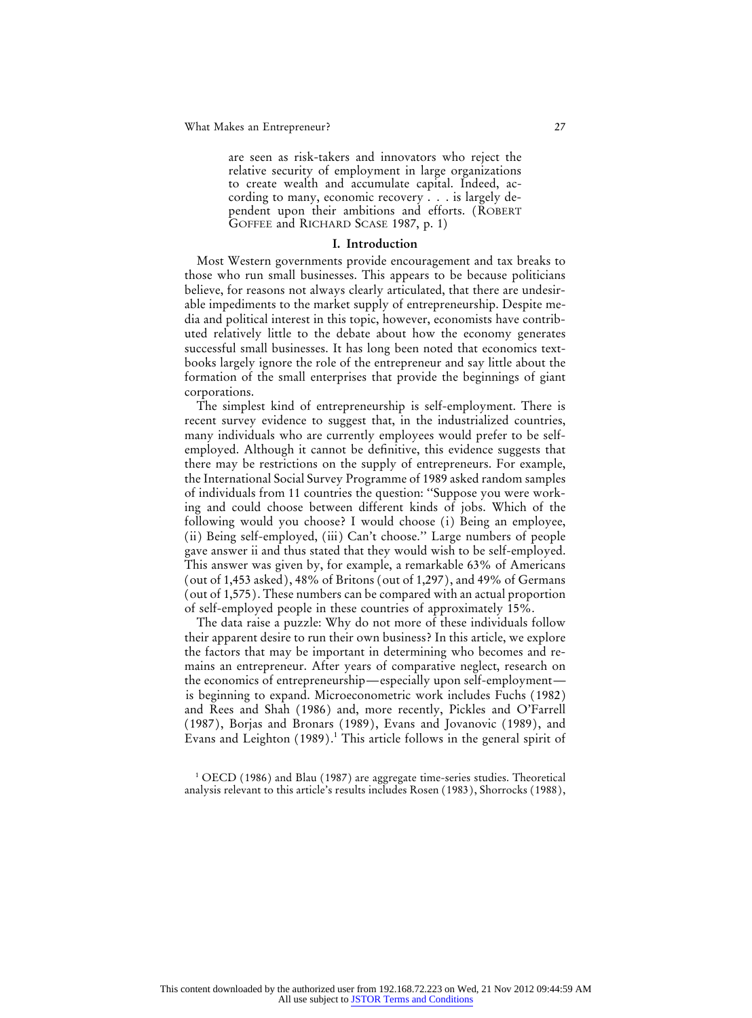are seen as risk-takers and innovators who reject the relative security of employment in large organizations to create wealth and accumulate capital. Indeed, according to many, economic recovery . . . is largely dependent upon their ambitions and efforts. (ROBERT GOFFEE and RICHARD SCASE 1987, p. 1)

### **I. Introduction**

Most Western governments provide encouragement and tax breaks to those who run small businesses. This appears to be because politicians believe, for reasons not always clearly articulated, that there are undesirable impediments to the market supply of entrepreneurship. Despite media and political interest in this topic, however, economists have contributed relatively little to the debate about how the economy generates successful small businesses. It has long been noted that economics textbooks largely ignore the role of the entrepreneur and say little about the formation of the small enterprises that provide the beginnings of giant corporations.

The simplest kind of entrepreneurship is self-employment. There is recent survey evidence to suggest that, in the industrialized countries, many individuals who are currently employees would prefer to be selfemployed. Although it cannot be definitive, this evidence suggests that there may be restrictions on the supply of entrepreneurs. For example, the International Social Survey Programme of 1989 asked random samples of individuals from 11 countries the question: ''Suppose you were working and could choose between different kinds of jobs. Which of the following would you choose? I would choose (i) Being an employee, (ii) Being self-employed, (iii) Can't choose.'' Large numbers of people gave answer ii and thus stated that they would wish to be self-employed. This answer was given by, for example, a remarkable 63% of Americans (out of 1,453 asked), 48% of Britons (out of 1,297), and 49% of Germans (out of 1,575). These numbers can be compared with an actual proportion of self-employed people in these countries of approximately 15%.

The data raise a puzzle: Why do not more of these individuals follow their apparent desire to run their own business? In this article, we explore the factors that may be important in determining who becomes and remains an entrepreneur. After years of comparative neglect, research on the economics of entrepreneurship—especially upon self-employment is beginning to expand. Microeconometric work includes Fuchs (1982) and Rees and Shah (1986) and, more recently, Pickles and O'Farrell (1987), Borjas and Bronars (1989), Evans and Jovanovic (1989), and Evans and Leighton (1989).<sup>1</sup> This article follows in the general spirit of

<sup>1</sup> OECD (1986) and Blau (1987) are aggregate time-series studies. Theoretical analysis relevant to this article's results includes Rosen (1983), Shorrocks (1988),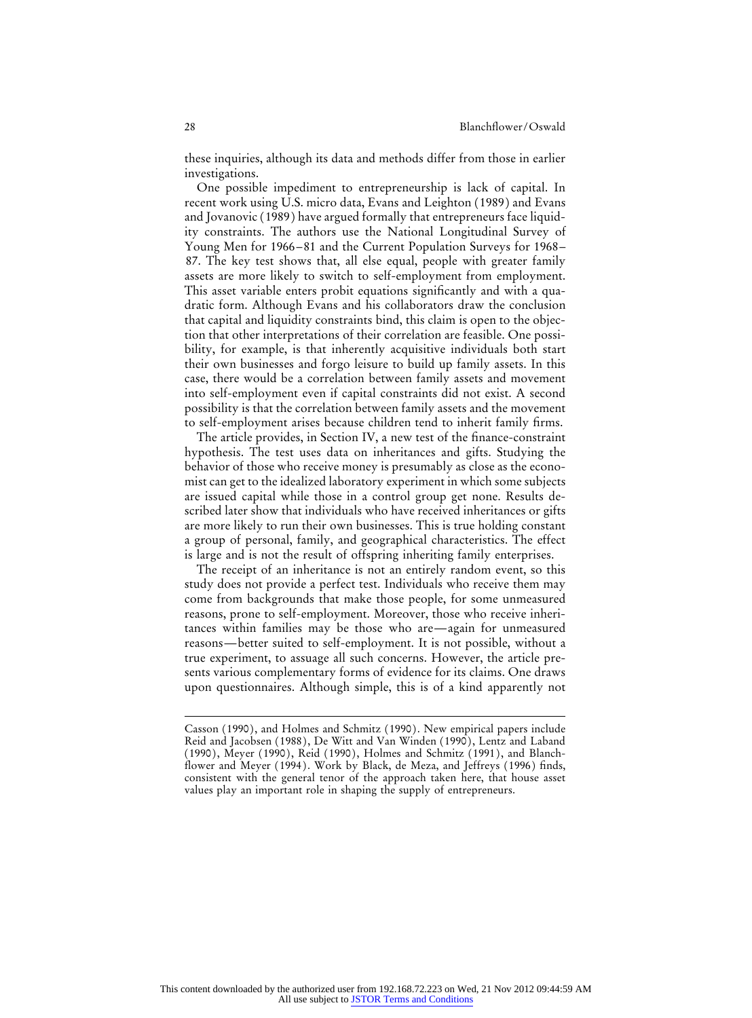these inquiries, although its data and methods differ from those in earlier investigations.

One possible impediment to entrepreneurship is lack of capital. In recent work using U.S. micro data, Evans and Leighton (1989) and Evans and Jovanovic (1989) have argued formally that entrepreneurs face liquidity constraints. The authors use the National Longitudinal Survey of Young Men for 1966–81 and the Current Population Surveys for 1968– 87. The key test shows that, all else equal, people with greater family assets are more likely to switch to self-employment from employment. This asset variable enters probit equations significantly and with a quadratic form. Although Evans and his collaborators draw the conclusion that capital and liquidity constraints bind, this claim is open to the objection that other interpretations of their correlation are feasible. One possibility, for example, is that inherently acquisitive individuals both start their own businesses and forgo leisure to build up family assets. In this case, there would be a correlation between family assets and movement into self-employment even if capital constraints did not exist. A second possibility is that the correlation between family assets and the movement to self-employment arises because children tend to inherit family firms.

The article provides, in Section IV, a new test of the finance-constraint hypothesis. The test uses data on inheritances and gifts. Studying the behavior of those who receive money is presumably as close as the economist can get to the idealized laboratory experiment in which some subjects are issued capital while those in a control group get none. Results described later show that individuals who have received inheritances or gifts are more likely to run their own businesses. This is true holding constant a group of personal, family, and geographical characteristics. The effect is large and is not the result of offspring inheriting family enterprises.

The receipt of an inheritance is not an entirely random event, so this study does not provide a perfect test. Individuals who receive them may come from backgrounds that make those people, for some unmeasured reasons, prone to self-employment. Moreover, those who receive inheritances within families may be those who are—again for unmeasured reasons—better suited to self-employment. It is not possible, without a true experiment, to assuage all such concerns. However, the article presents various complementary forms of evidence for its claims. One draws upon questionnaires. Although simple, this is of a kind apparently not

Casson (1990), and Holmes and Schmitz (1990). New empirical papers include Reid and Jacobsen (1988), De Witt and Van Winden (1990), Lentz and Laband (1990), Meyer (1990), Reid (1990), Holmes and Schmitz (1991), and Blanchflower and Meyer (1994). Work by Black, de Meza, and Jeffreys (1996) finds, consistent with the general tenor of the approach taken here, that house asset values play an important role in shaping the supply of entrepreneurs.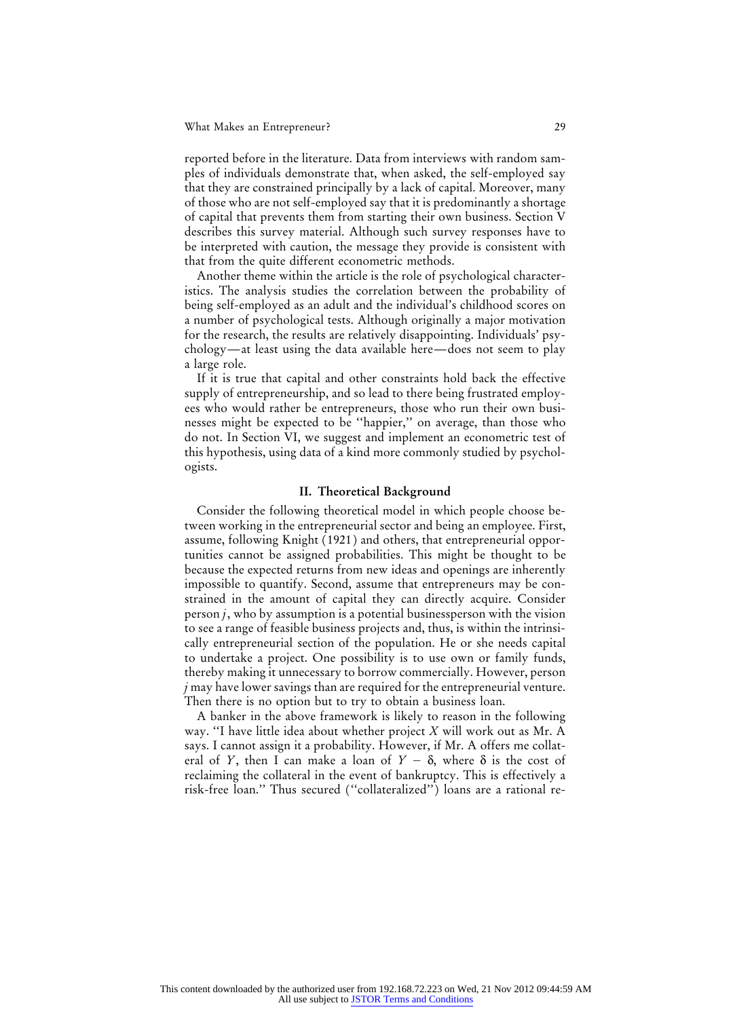reported before in the literature. Data from interviews with random samples of individuals demonstrate that, when asked, the self-employed say that they are constrained principally by a lack of capital. Moreover, many of those who are not self-employed say that it is predominantly a shortage of capital that prevents them from starting their own business. Section V describes this survey material. Although such survey responses have to be interpreted with caution, the message they provide is consistent with that from the quite different econometric methods.

Another theme within the article is the role of psychological characteristics. The analysis studies the correlation between the probability of being self-employed as an adult and the individual's childhood scores on a number of psychological tests. Although originally a major motivation for the research, the results are relatively disappointing. Individuals' psychology—at least using the data available here—does not seem to play a large role.

If it is true that capital and other constraints hold back the effective supply of entrepreneurship, and so lead to there being frustrated employees who would rather be entrepreneurs, those who run their own businesses might be expected to be ''happier,'' on average, than those who do not. In Section VI, we suggest and implement an econometric test of this hypothesis, using data of a kind more commonly studied by psychologists.

# **II. Theoretical Background**

Consider the following theoretical model in which people choose between working in the entrepreneurial sector and being an employee. First, assume, following Knight (1921) and others, that entrepreneurial opportunities cannot be assigned probabilities. This might be thought to be because the expected returns from new ideas and openings are inherently impossible to quantify. Second, assume that entrepreneurs may be constrained in the amount of capital they can directly acquire. Consider person *j*, who by assumption is a potential businessperson with the vision to see a range of feasible business projects and, thus, is within the intrinsically entrepreneurial section of the population. He or she needs capital to undertake a project. One possibility is to use own or family funds, thereby making it unnecessary to borrow commercially. However, person *j* may have lower savings than are required for the entrepreneurial venture. Then there is no option but to try to obtain a business loan.

A banker in the above framework is likely to reason in the following way. ''I have little idea about whether project *X* will work out as Mr. A says. I cannot assign it a probability. However, if Mr. A offers me collateral of *Y*, then I can make a loan of  $Y - \delta$ , where  $\delta$  is the cost of reclaiming the collateral in the event of bankruptcy. This is effectively a risk-free loan.'' Thus secured (''collateralized'') loans are a rational re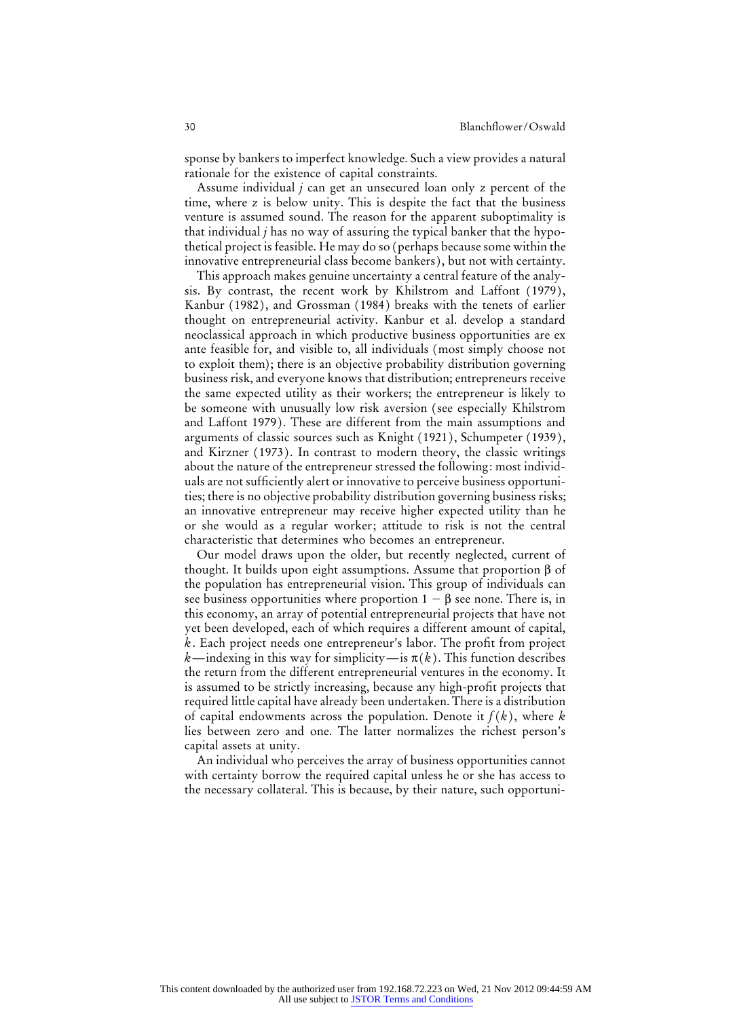sponse by bankers to imperfect knowledge. Such a view provides a natural rationale for the existence of capital constraints.

Assume individual *j* can get an unsecured loan only *z* percent of the time, where *z* is below unity. This is despite the fact that the business venture is assumed sound. The reason for the apparent suboptimality is that individual *j* has no way of assuring the typical banker that the hypothetical project is feasible. He may do so (perhaps because some within the innovative entrepreneurial class become bankers), but not with certainty.

This approach makes genuine uncertainty a central feature of the analysis. By contrast, the recent work by Khilstrom and Laffont (1979), Kanbur (1982), and Grossman (1984) breaks with the tenets of earlier thought on entrepreneurial activity. Kanbur et al. develop a standard neoclassical approach in which productive business opportunities are ex ante feasible for, and visible to, all individuals (most simply choose not to exploit them); there is an objective probability distribution governing business risk, and everyone knows that distribution; entrepreneurs receive the same expected utility as their workers; the entrepreneur is likely to be someone with unusually low risk aversion (see especially Khilstrom and Laffont 1979). These are different from the main assumptions and arguments of classic sources such as Knight (1921), Schumpeter (1939), and Kirzner (1973). In contrast to modern theory, the classic writings about the nature of the entrepreneur stressed the following: most individuals are not sufficiently alert or innovative to perceive business opportunities; there is no objective probability distribution governing business risks; an innovative entrepreneur may receive higher expected utility than he or she would as a regular worker; attitude to risk is not the central characteristic that determines who becomes an entrepreneur.

Our model draws upon the older, but recently neglected, current of thought. It builds upon eight assumptions. Assume that proportion  $\beta$  of the population has entrepreneurial vision. This group of individuals can see business opportunities where proportion  $1 - \beta$  see none. There is, in this economy, an array of potential entrepreneurial projects that have not yet been developed, each of which requires a different amount of capital, *k*. Each project needs one entrepreneur's labor. The profit from project  $k$ —indexing in this way for simplicity—is  $\pi(k)$ . This function describes the return from the different entrepreneurial ventures in the economy. It is assumed to be strictly increasing, because any high-profit projects that required little capital have already been undertaken. There is a distribution of capital endowments across the population. Denote it *f* (*k*), where *k* lies between zero and one. The latter normalizes the richest person's capital assets at unity.

An individual who perceives the array of business opportunities cannot with certainty borrow the required capital unless he or she has access to the necessary collateral. This is because, by their nature, such opportuni-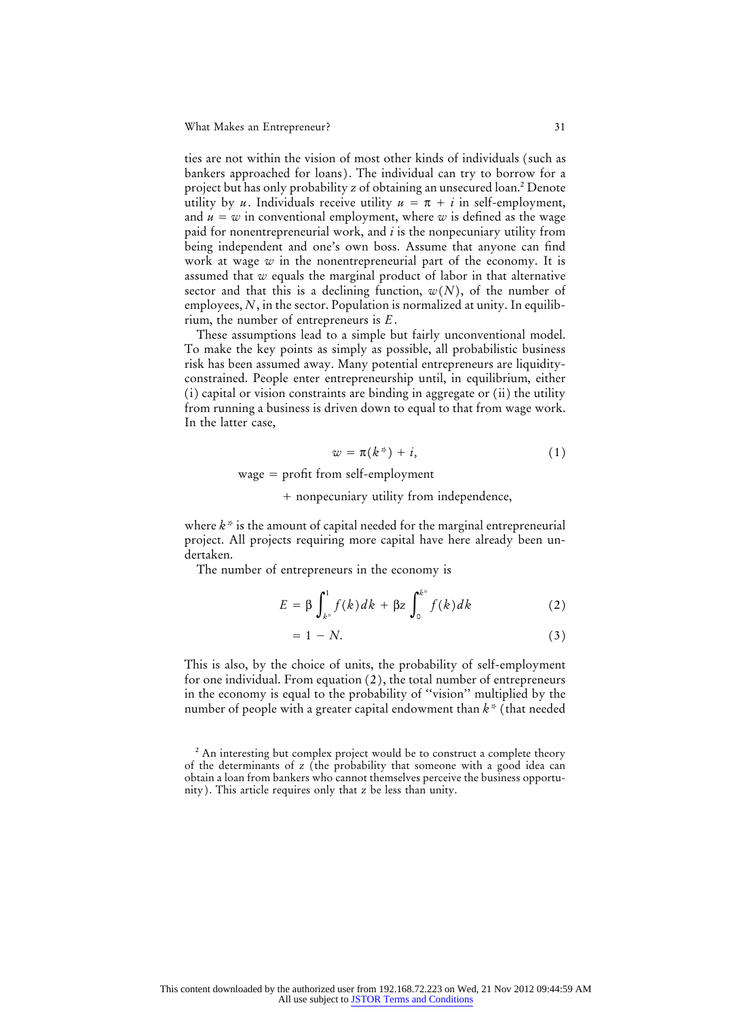ties are not within the vision of most other kinds of individuals (such as bankers approached for loans). The individual can try to borrow for a project but has only probability *z* of obtaining an unsecured loan.<sup>2</sup> Denote utility by *u*. Individuals receive utility  $u = \pi + i$  in self-employment, and  $u = w$  in conventional employment, where w is defined as the wage paid for nonentrepreneurial work, and *i* is the nonpecuniary utility from being independent and one's own boss. Assume that anyone can find work at wage *w* in the nonentrepreneurial part of the economy. It is assumed that *w* equals the marginal product of labor in that alternative sector and that this is a declining function,  $w(N)$ , of the number of employees, *N*, in the sector. Population is normalized at unity. In equilibrium, the number of entrepreneurs is *E*.

These assumptions lead to a simple but fairly unconventional model. To make the key points as simply as possible, all probabilistic business risk has been assumed away. Many potential entrepreneurs are liquidityconstrained. People enter entrepreneurship until, in equilibrium, either (i) capital or vision constraints are binding in aggregate or (ii) the utility from running a business is driven down to equal to that from wage work. In the latter case,

$$
w = \pi(k^*) + i,\tag{1}
$$

wage  $=$  profit from self-employment

/ nonpecuniary utility from independence,

where  $k^*$  is the amount of capital needed for the marginal entrepreneurial project. All projects requiring more capital have here already been undertaken.

The number of entrepreneurs in the economy is

$$
E = \beta \int_{k^*}^1 f(k) dk + \beta z \int_0^{k^*} f(k) dk \qquad (2)
$$

$$
= 1 - N.\t\t(3)
$$

This is also, by the choice of units, the probability of self-employment for one individual. From equation (2), the total number of entrepreneurs in the economy is equal to the probability of ''vision'' multiplied by the number of people with a greater capital endowment than *k*\* (that needed

<sup>&</sup>lt;sup>2</sup> An interesting but complex project would be to construct a complete theory of the determinants of *z* (the probability that someone with a good idea can obtain a loan from bankers who cannot themselves perceive the business opportunity). This article requires only that *z* be less than unity.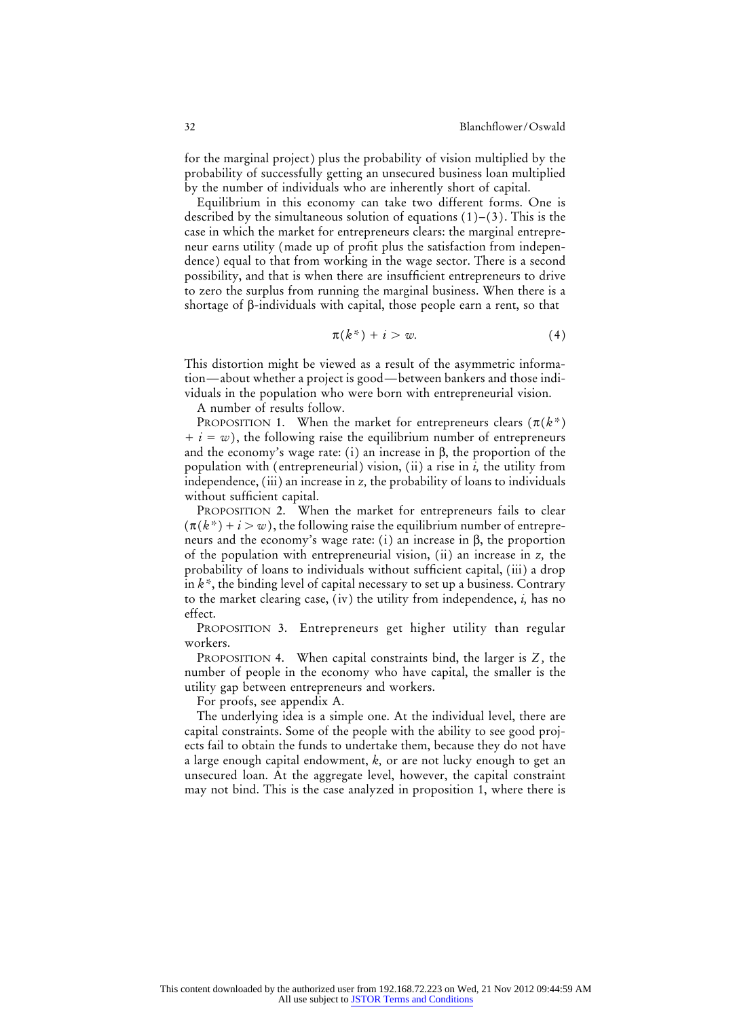for the marginal project) plus the probability of vision multiplied by the probability of successfully getting an unsecured business loan multiplied by the number of individuals who are inherently short of capital.

Equilibrium in this economy can take two different forms. One is described by the simultaneous solution of equations  $(1)$ – $(3)$ . This is the case in which the market for entrepreneurs clears: the marginal entrepreneur earns utility (made up of profit plus the satisfaction from independence) equal to that from working in the wage sector. There is a second possibility, and that is when there are insufficient entrepreneurs to drive to zero the surplus from running the marginal business. When there is a shortage of  $\beta$ -individuals with capital, those people earn a rent, so that

$$
\pi(k^*) + i > w.
$$
 (4)

This distortion might be viewed as a result of the asymmetric information—about whether a project is good—between bankers and those individuals in the population who were born with entrepreneurial vision.

A number of results follow.

PROPOSITION 1. When the market for entrepreneurs clears  $(\pi(k^*)$  $+ i = w$ ), the following raise the equilibrium number of entrepreneurs and the economy's wage rate: (i) an increase in  $\beta$ , the proportion of the population with (entrepreneurial) vision, (ii) a rise in *i,* the utility from independence, (iii) an increase in *z,* the probability of loans to individuals without sufficient capital.

PROPOSITION 2. When the market for entrepreneurs fails to clear  $(\pi(k^*) + i > w)$ , the following raise the equilibrium number of entrepreneurs and the economy's wage rate: (i) an increase in  $\beta$ , the proportion of the population with entrepreneurial vision, (ii) an increase in *z,* the probability of loans to individuals without sufficient capital, (iii) a drop in *k*\*, the binding level of capital necessary to set up a business. Contrary to the market clearing case, (iv) the utility from independence, *i,* has no effect.

PROPOSITION 3. Entrepreneurs get higher utility than regular workers.

PROPOSITION 4. When capital constraints bind, the larger is *Z ,* the number of people in the economy who have capital, the smaller is the utility gap between entrepreneurs and workers.

For proofs, see appendix A.

The underlying idea is a simple one. At the individual level, there are capital constraints. Some of the people with the ability to see good projects fail to obtain the funds to undertake them, because they do not have a large enough capital endowment, *k,* or are not lucky enough to get an unsecured loan. At the aggregate level, however, the capital constraint may not bind. This is the case analyzed in proposition 1, where there is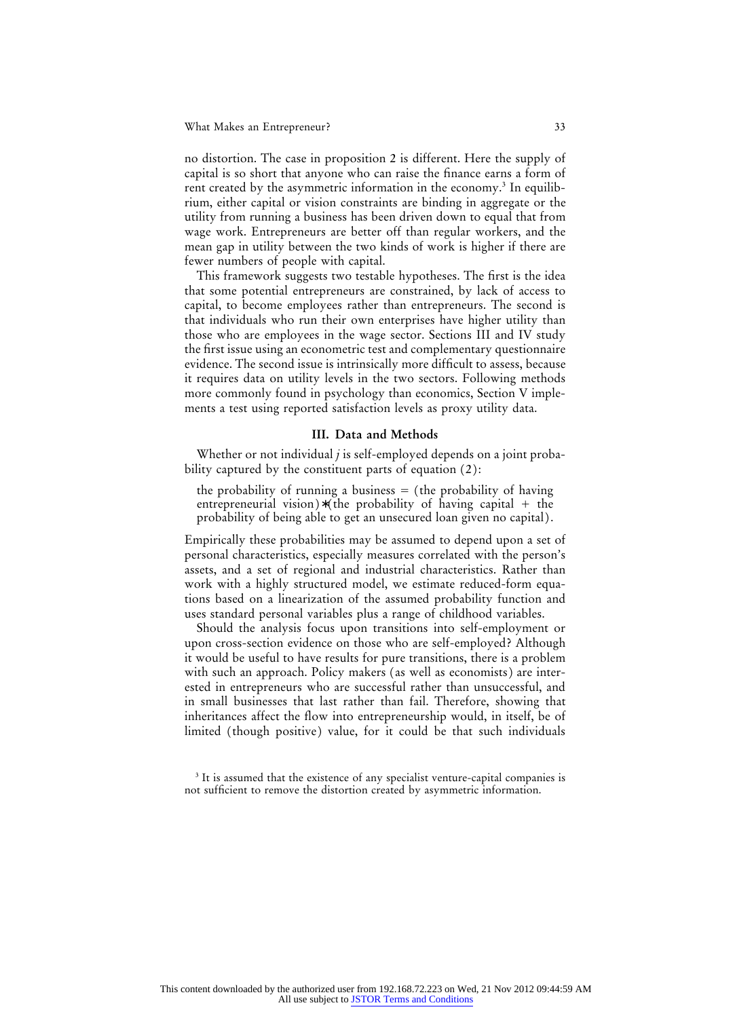no distortion. The case in proposition 2 is different. Here the supply of capital is so short that anyone who can raise the finance earns a form of rent created by the asymmetric information in the economy.<sup>3</sup> In equilibrium, either capital or vision constraints are binding in aggregate or the utility from running a business has been driven down to equal that from wage work. Entrepreneurs are better off than regular workers, and the mean gap in utility between the two kinds of work is higher if there are fewer numbers of people with capital.

This framework suggests two testable hypotheses. The first is the idea that some potential entrepreneurs are constrained, by lack of access to capital, to become employees rather than entrepreneurs. The second is that individuals who run their own enterprises have higher utility than those who are employees in the wage sector. Sections III and IV study the first issue using an econometric test and complementary questionnaire evidence. The second issue is intrinsically more difficult to assess, because it requires data on utility levels in the two sectors. Following methods more commonly found in psychology than economics, Section V implements a test using reported satisfaction levels as proxy utility data.

# **III. Data and Methods**

Whether or not individual *j* is self-employed depends on a joint probability captured by the constituent parts of equation (2):

the probability of running a business  $=$  (the probability of having entrepreneurial vision) $*($ the probability of having capital + the probability of being able to get an unsecured loan given no capital).

Empirically these probabilities may be assumed to depend upon a set of personal characteristics, especially measures correlated with the person's assets, and a set of regional and industrial characteristics. Rather than work with a highly structured model, we estimate reduced-form equations based on a linearization of the assumed probability function and uses standard personal variables plus a range of childhood variables.

Should the analysis focus upon transitions into self-employment or upon cross-section evidence on those who are self-employed? Although it would be useful to have results for pure transitions, there is a problem with such an approach. Policy makers (as well as economists) are interested in entrepreneurs who are successful rather than unsuccessful, and in small businesses that last rather than fail. Therefore, showing that inheritances affect the flow into entrepreneurship would, in itself, be of limited (though positive) value, for it could be that such individuals

<sup>&</sup>lt;sup>3</sup> It is assumed that the existence of any specialist venture-capital companies is not sufficient to remove the distortion created by asymmetric information.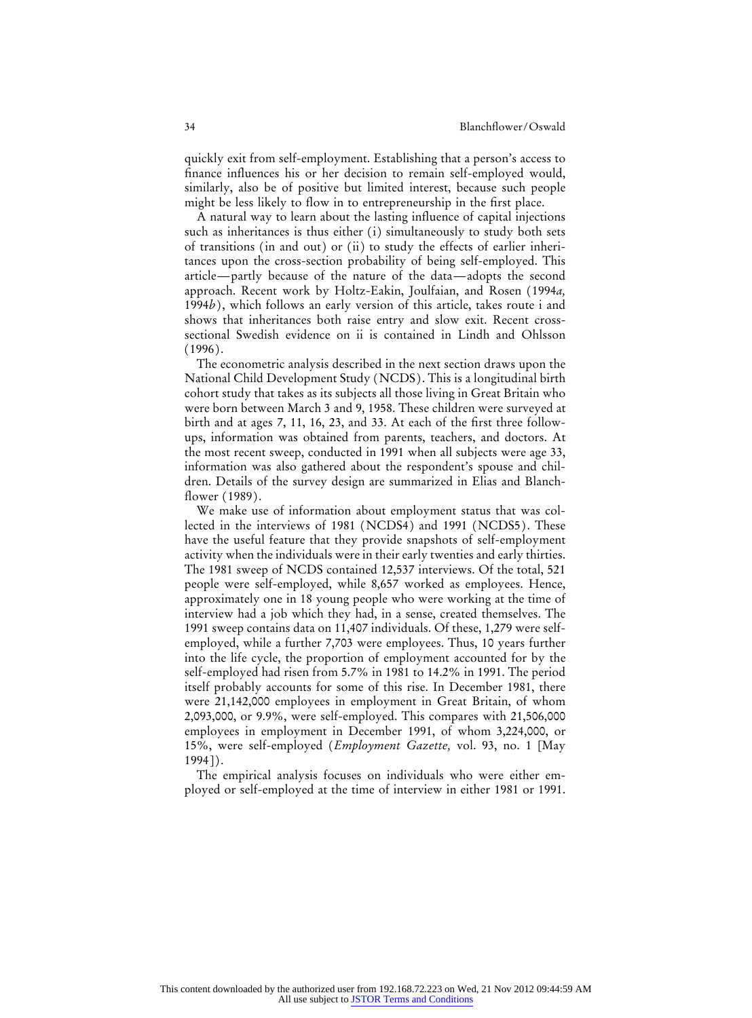quickly exit from self-employment. Establishing that a person's access to finance influences his or her decision to remain self-employed would, similarly, also be of positive but limited interest, because such people might be less likely to flow in to entrepreneurship in the first place.

A natural way to learn about the lasting influence of capital injections such as inheritances is thus either (i) simultaneously to study both sets of transitions (in and out) or (ii) to study the effects of earlier inheritances upon the cross-section probability of being self-employed. This article—partly because of the nature of the data—adopts the second approach. Recent work by Holtz-Eakin, Joulfaian, and Rosen (1994*a,* 1994*b*), which follows an early version of this article, takes route i and shows that inheritances both raise entry and slow exit. Recent crosssectional Swedish evidence on ii is contained in Lindh and Ohlsson (1996).

The econometric analysis described in the next section draws upon the National Child Development Study (NCDS). This is a longitudinal birth cohort study that takes as its subjects all those living in Great Britain who were born between March 3 and 9, 1958. These children were surveyed at birth and at ages 7, 11, 16, 23, and 33. At each of the first three followups, information was obtained from parents, teachers, and doctors. At the most recent sweep, conducted in 1991 when all subjects were age 33, information was also gathered about the respondent's spouse and children. Details of the survey design are summarized in Elias and Blanchflower (1989).

We make use of information about employment status that was collected in the interviews of 1981 (NCDS4) and 1991 (NCDS5). These have the useful feature that they provide snapshots of self-employment activity when the individuals were in their early twenties and early thirties. The 1981 sweep of NCDS contained 12,537 interviews. Of the total, 521 people were self-employed, while 8,657 worked as employees. Hence, approximately one in 18 young people who were working at the time of interview had a job which they had, in a sense, created themselves. The 1991 sweep contains data on 11,407 individuals. Of these, 1,279 were selfemployed, while a further 7,703 were employees. Thus, 10 years further into the life cycle, the proportion of employment accounted for by the self-employed had risen from 5.7% in 1981 to 14.2% in 1991. The period itself probably accounts for some of this rise. In December 1981, there were 21,142,000 employees in employment in Great Britain, of whom 2,093,000, or 9.9%, were self-employed. This compares with 21,506,000 employees in employment in December 1991, of whom 3,224,000, or 15%, were self-employed (*Employment Gazette,* vol. 93, no. 1 [May 1994]).

The empirical analysis focuses on individuals who were either employed or self-employed at the time of interview in either 1981 or 1991.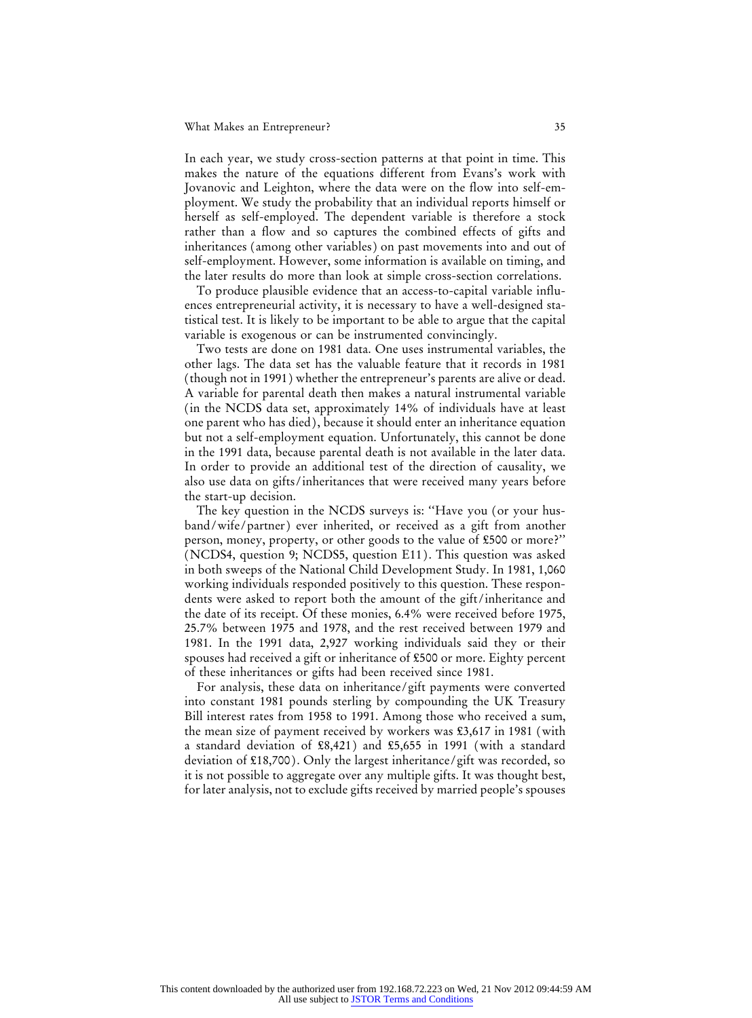In each year, we study cross-section patterns at that point in time. This makes the nature of the equations different from Evans's work with Jovanovic and Leighton, where the data were on the flow into self-employment. We study the probability that an individual reports himself or herself as self-employed. The dependent variable is therefore a stock rather than a flow and so captures the combined effects of gifts and inheritances (among other variables) on past movements into and out of self-employment. However, some information is available on timing, and the later results do more than look at simple cross-section correlations.

To produce plausible evidence that an access-to-capital variable influences entrepreneurial activity, it is necessary to have a well-designed statistical test. It is likely to be important to be able to argue that the capital variable is exogenous or can be instrumented convincingly.

Two tests are done on 1981 data. One uses instrumental variables, the other lags. The data set has the valuable feature that it records in 1981 (though not in 1991) whether the entrepreneur's parents are alive or dead. A variable for parental death then makes a natural instrumental variable (in the NCDS data set, approximately 14% of individuals have at least one parent who has died), because it should enter an inheritance equation but not a self-employment equation. Unfortunately, this cannot be done in the 1991 data, because parental death is not available in the later data. In order to provide an additional test of the direction of causality, we also use data on gifts/inheritances that were received many years before the start-up decision.

The key question in the NCDS surveys is: ''Have you (or your husband/wife/partner) ever inherited, or received as a gift from another person, money, property, or other goods to the value of £500 or more?'' (NCDS4, question 9; NCDS5, question E11). This question was asked in both sweeps of the National Child Development Study. In 1981, 1,060 working individuals responded positively to this question. These respondents were asked to report both the amount of the gift/inheritance and the date of its receipt. Of these monies, 6.4% were received before 1975, 25.7% between 1975 and 1978, and the rest received between 1979 and 1981. In the 1991 data, 2,927 working individuals said they or their spouses had received a gift or inheritance of £500 or more. Eighty percent of these inheritances or gifts had been received since 1981.

For analysis, these data on inheritance/gift payments were converted into constant 1981 pounds sterling by compounding the UK Treasury Bill interest rates from 1958 to 1991. Among those who received a sum, the mean size of payment received by workers was £3,617 in 1981 (with a standard deviation of £8,421) and £5,655 in 1991 (with a standard deviation of £18,700). Only the largest inheritance/gift was recorded, so it is not possible to aggregate over any multiple gifts. It was thought best, for later analysis, not to exclude gifts received by married people's spouses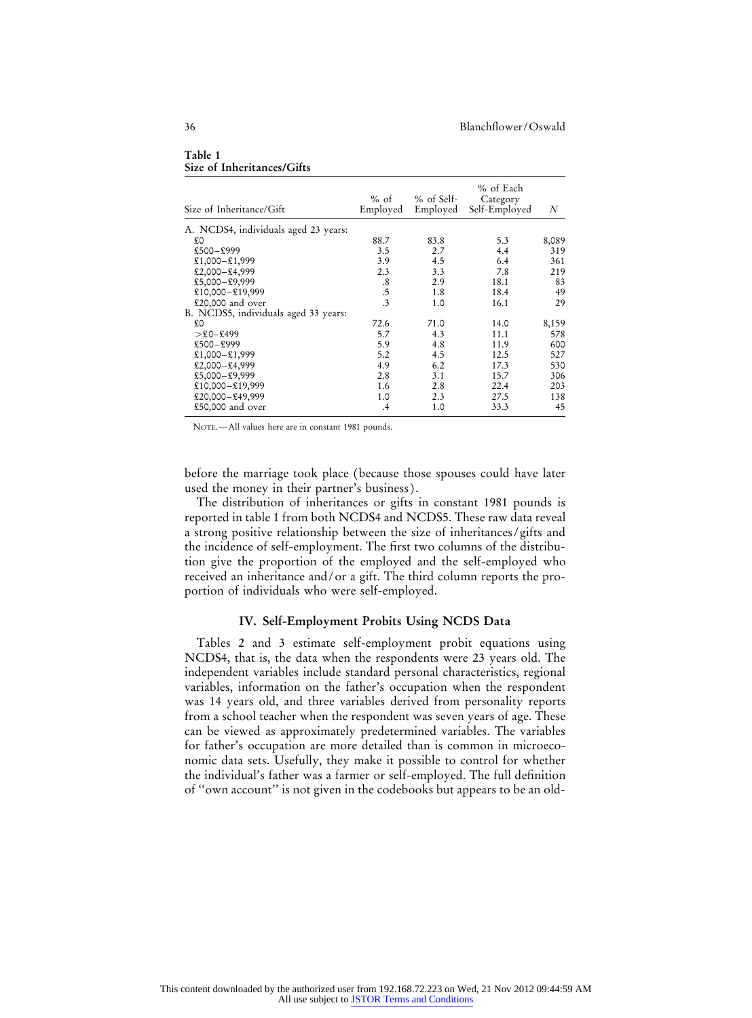| Size of Inheritance/Gift             | $%$ of<br>Employed   | % of Self-<br>Employed | % of Each<br>Category<br>Self-Employed | N     |
|--------------------------------------|----------------------|------------------------|----------------------------------------|-------|
| A. NCDS4, individuals aged 23 years: |                      |                        |                                        |       |
| £O                                   | 88.7                 | 83.8                   | 5.3                                    | 8,089 |
| £500-£999                            | 3.5                  | 2.7                    | 4.4                                    | 319   |
| $£1,000 - £1,999$                    | 3.9                  | 4.5                    | 6.4                                    | 361   |
| $£2,000 - £4,999$                    | 2.3                  | 3.3                    | 7.8                                    | 219   |
| £5,000-£9,999                        | $\cdot$ <sup>8</sup> | 2.9                    | 18.1                                   | 83    |
| £10,000-£19,999                      | .5                   | 1.8                    | 18.4                                   | 49    |
| £20,000 and over                     | $\cdot$ 3            | 1.0                    | 16.1                                   | 29    |
| B. NCDS5, individuals aged 33 years: |                      |                        |                                        |       |
| £O                                   | 72.6                 | 71.0                   | 14.0                                   | 8,159 |
| $>\xi$ 0-£499                        | 5.7                  | 4.3                    | 11.1                                   | 578   |
| £500-£999                            | 5.9                  | 4.8                    | 11.9                                   | 600   |
| $£1,000 - £1,999$                    | 5.2                  | 4.5                    | 12.5                                   | 527   |
| $£2,000 - £4,999$                    | 4.9                  | 6.2                    | 17.3                                   | 530   |
| £5,000-£9,999                        | 2.8                  | 3.1                    | 15.7                                   | 306   |
| $$10,000 - $19,999$                  | 1.6                  | 2.8                    | 22.4                                   | 203   |
| $£20,000 - £49,999$                  | 1.0                  | 2.3                    | 27.5                                   | 138   |
| £50,000 and over                     | $\cdot$              | 1.0                    | 33.3                                   | 45    |

| Table 1 |                            |
|---------|----------------------------|
|         | Size of Inheritances/Gifts |

NOTE.—All values here are in constant 1981 pounds.

before the marriage took place (because those spouses could have later used the money in their partner's business).

The distribution of inheritances or gifts in constant 1981 pounds is reported in table 1 from both NCDS4 and NCDS5. These raw data reveal a strong positive relationship between the size of inheritances/gifts and the incidence of self-employment. The first two columns of the distribution give the proportion of the employed and the self-employed who received an inheritance and/or a gift. The third column reports the proportion of individuals who were self-employed.

# **IV. Self-Employment Probits Using NCDS Data**

Tables 2 and 3 estimate self-employment probit equations using NCDS4, that is, the data when the respondents were 23 years old. The independent variables include standard personal characteristics, regional variables, information on the father's occupation when the respondent was 14 years old, and three variables derived from personality reports from a school teacher when the respondent was seven years of age. These can be viewed as approximately predetermined variables. The variables for father's occupation are more detailed than is common in microeconomic data sets. Usefully, they make it possible to control for whether the individual's father was a farmer or self-employed. The full definition of ''own account'' is not given in the codebooks but appears to be an old-

# . . . .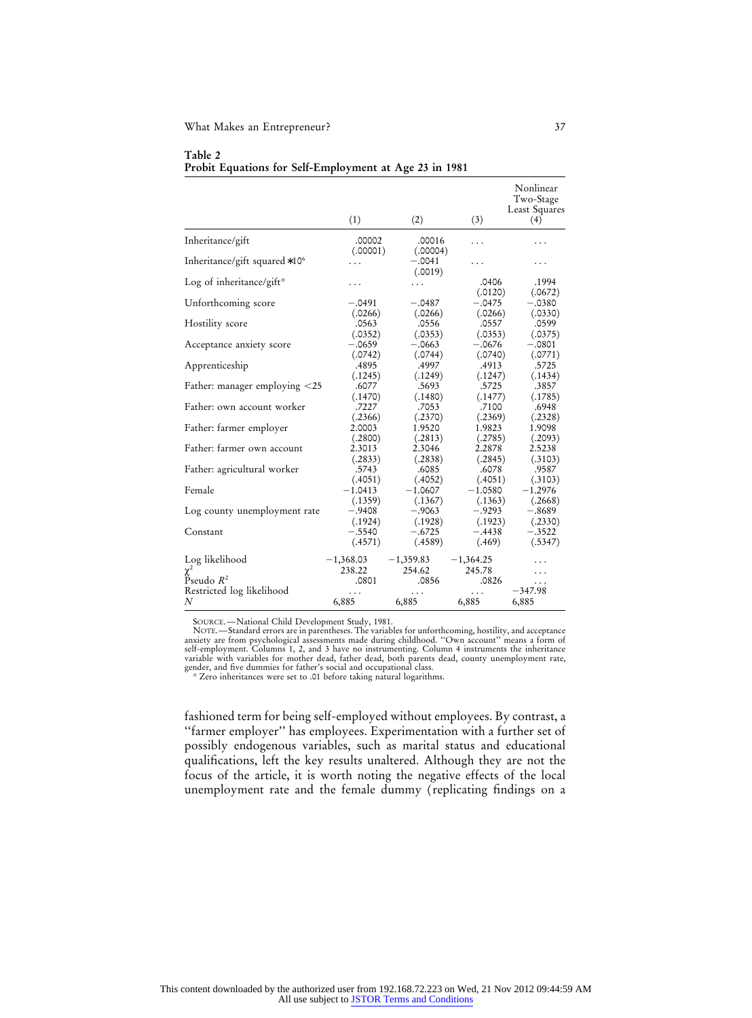|                                           | (1)                            | (2)                            | (3)                           | Nonlinear<br>Two-Stage<br>Least Squares<br>(4) |
|-------------------------------------------|--------------------------------|--------------------------------|-------------------------------|------------------------------------------------|
| Inheritance/gift                          | .00002<br>(.00001)             | .00016<br>(.00004)             | .                             |                                                |
| Inheritance/gift squared *10 <sup>6</sup> |                                | $-.0041$<br>(.0019)            | .                             |                                                |
| Log of inheritance/gift*                  | .                              | .                              | .0406<br>(.0120)              | .1994<br>(.0672)                               |
| Unforthcoming score                       | $-.0491$<br>(.0266)            | $-.0487$<br>(.0266)            | $-.0475$<br>(.0266)           | $-.0380$<br>(.0330)                            |
| Hostility score                           | .0563<br>(.0352)               | .0556<br>(.0353)               | .0557<br>(.0353)              | .0599<br>(.0375)                               |
| Acceptance anxiety score                  | $-.0659$<br>(.0742)            | $-.0663$<br>(.0744)            | $-.0676$<br>(.0740)           | $-.0801$<br>(.0771)                            |
| Apprenticeship                            | .4895<br>(.1245)               | .4997<br>(.1249)               | .4913<br>(.1247)              | .5725<br>(.1434)                               |
| Father: manager employing $<$ 25          | .6077<br>(.1470)               | .5693<br>(.1480)               | .5725<br>(.1477)              | .3857<br>(.1785)                               |
| Father: own account worker                | .7227<br>(.2366)               | .7053<br>(.2370)               | .7100<br>(.2369)              | .6948<br>(.2328)                               |
| Father: farmer employer                   | 2.0003<br>(.2800)              | 1.9520                         | 1.9823<br>(.2785)             | 1.9098<br>(.2093)                              |
| Father: farmer own account                | 2.3013                         | (.2813)<br>2.3046              | 2.2878                        | 2.5238                                         |
| Father: agricultural worker               | (.2833)<br>.5743<br>(.4051)    | (.2838)<br>.6085<br>(.4052)    | (.2845)<br>.6078<br>(.4051)   | (.3103)<br>.9587<br>(.3103)                    |
| Female                                    | $-1.0413$<br>(.1359)           | $-1.0607$<br>(.1367)           | $-1.0580$<br>(.1363)          | $-1.2976$<br>(.2668)                           |
| Log county unemployment rate              | $-.9408$                       | $-.9063$                       | $-.9293$                      | $-.8689$                                       |
| Constant                                  | (.1924)<br>$-.5540$<br>(.4571) | (.1928)<br>$-.6725$<br>(.4589) | (.1923)<br>$-.4438$<br>(.469) | (.2330)<br>$-.3522$<br>(.5347)                 |
| Log likelihood                            | $-1,368.03$                    | $-1,359.83$                    | $-1,364.25$                   |                                                |
| Pseudo $R^2$<br>Restricted log likelihood | 238.22<br>.0801<br>$\ddotsc$   | 254.62<br>.0856<br>.           | 245.78<br>.0826<br>.          | .<br>$-347.98$                                 |
| N                                         | 6,885                          | 6,885                          | 6,885                         | 6,885                                          |

**Table 2 Probit Equations for Self-Employment at Age 23 in 1981**

SOURCE.—National Child Development Study, 1981.<br>NOTE.—Standard errors are in parentheses. The variables for unforthcoming, hostility, and acceptance<br>anxiety are from psychological assessments made during childhood. "Own ac

fashioned term for being self-employed without employees. By contrast, a "farmer employer" has employees. Experimentation with a further set of possibly endogenous variables, such as marital status and educational qualifications, left the key results unaltered. Although they are not the focus of the article, it is worth noting the negative effects of the local unemployment rate and the female dummy (replicating findings on a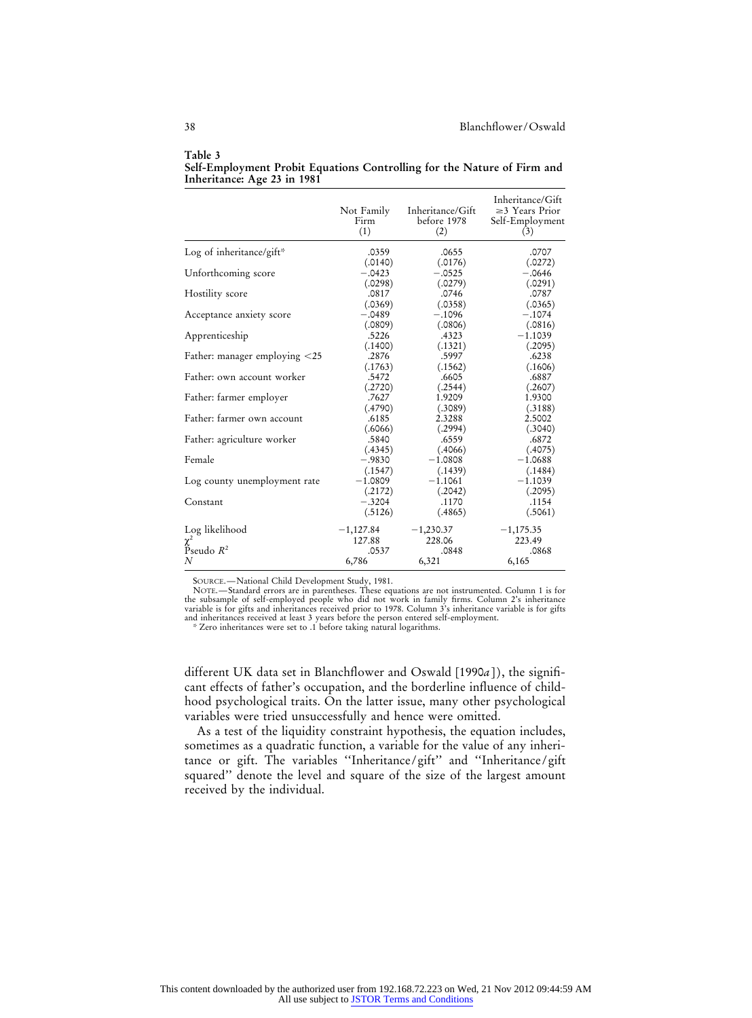|                                        | Not Family<br>Firm<br>(1) | Inheritance/Gift<br>before 1978<br>(2) | Inheritance/Gift<br>$\geq$ 3 Years Prior<br>Self-Employment<br>(3) |
|----------------------------------------|---------------------------|----------------------------------------|--------------------------------------------------------------------|
| Log of inheritance/gift*               | .0359                     | .0655                                  | .0707                                                              |
|                                        | (.0140)                   | (.0176)                                | (.0272)                                                            |
| Unforthcoming score                    | $-.0423$                  | $-.0525$                               | $-.0646$                                                           |
|                                        | (.0298)                   | (.0279)                                | (.0291)                                                            |
| Hostility score                        | .0817                     | .0746                                  | .0787                                                              |
|                                        | (.0369)                   | (.0358)                                | (.0365)                                                            |
| Acceptance anxiety score               | $-.0489$                  | $-.1096$                               | $-.1074$                                                           |
|                                        | (.0809)                   | (.0806)                                | (.0816)                                                            |
| Apprenticeship                         | .5226                     | .4323                                  | $-1.1039$                                                          |
|                                        | (.1400)                   | (.1321)                                | (.2095)                                                            |
| Father: manager employing $\langle 25$ | .2876                     | .5997                                  | .6238                                                              |
|                                        | (.1763)                   | (.1562)                                | (.1606)                                                            |
| Father: own account worker             | .5472                     | .6605                                  | .6887                                                              |
|                                        | (.2720)                   | (.2544)                                | (.2607)                                                            |
| Father: farmer employer                | .7627                     | 1.9209                                 | 1.9300                                                             |
|                                        | (.4790)                   | (.3089)                                | (.3188)                                                            |
| Father: farmer own account             | .6185                     | 2.3288                                 | 2.5002                                                             |
|                                        | (.6066)                   | (.2994)                                | (.3040)                                                            |
| Father: agriculture worker             | .5840                     | .6559                                  | .6872                                                              |
|                                        | (.4345)                   | (.4066)                                | (.4075)                                                            |
| Female                                 | $-.9830$                  | $-1.0808$                              | $-1.0688$                                                          |
|                                        | (.1547)<br>$-1.0809$      | (.1439)<br>$-1.1061$                   | (.1484)<br>$-1.1039$                                               |
| Log county unemployment rate           |                           |                                        |                                                                    |
| Constant                               | (.2172)<br>$-.3204$       | (.2042)<br>.1170                       | (.2095)<br>.1154                                                   |
|                                        | (.5126)                   | (.4865)                                | (.5061)                                                            |
|                                        |                           |                                        |                                                                    |
| Log likelihood                         | $-1,127.84$               | $-1,230.37$                            | $-1,175.35$                                                        |
|                                        | 127.88                    | 228.06                                 | 223.49                                                             |
| Pseudo $R^2$                           | .0537                     | .0848                                  | .0868                                                              |
| N                                      | 6,786                     | 6,321                                  | 6,165                                                              |

**Table 3 Self-Employment Probit Equations Controlling for the Nature of Firm and Inheritance: Age 23 in 1981**

SOURCE.—National Child Development Study, 1981.<br>NOTE.—Standard errors are in parentheses. These equations are not instrumented. Column 1 is for<br>the subsample of self-employed people who did not uvork in family firms. Colum

different UK data set in Blanchflower and Oswald [1990*a*]), the significant effects of father's occupation, and the borderline influence of childhood psychological traits. On the latter issue, many other psychological variables were tried unsuccessfully and hence were omitted.

As a test of the liquidity constraint hypothesis, the equation includes, sometimes as a quadratic function, a variable for the value of any inheritance or gift. The variables ''Inheritance/gift'' and ''Inheritance/gift squared'' denote the level and square of the size of the largest amount received by the individual.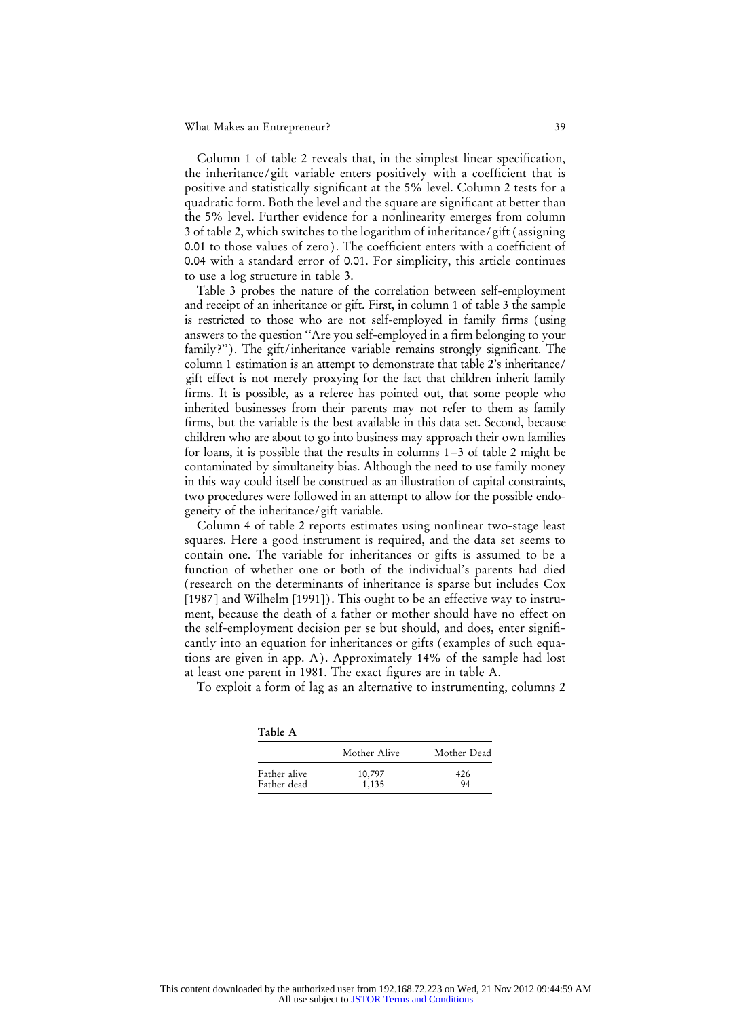### What Makes an Entrepreneur? 39

Column 1 of table 2 reveals that, in the simplest linear specification, the inheritance/gift variable enters positively with a coefficient that is positive and statistically significant at the 5% level. Column 2 tests for a quadratic form. Both the level and the square are significant at better than the 5% level. Further evidence for a nonlinearity emerges from column 3 of table 2, which switches to the logarithm of inheritance/gift (assigning 0.01 to those values of zero). The coefficient enters with a coefficient of 0.04 with a standard error of 0.01. For simplicity, this article continues to use a log structure in table 3.

Table 3 probes the nature of the correlation between self-employment and receipt of an inheritance or gift. First, in column 1 of table 3 the sample is restricted to those who are not self-employed in family firms (using answers to the question ''Are you self-employed in a firm belonging to your family?''). The gift/inheritance variable remains strongly significant. The column 1 estimation is an attempt to demonstrate that table 2's inheritance/ gift effect is not merely proxying for the fact that children inherit family firms. It is possible, as a referee has pointed out, that some people who inherited businesses from their parents may not refer to them as family firms, but the variable is the best available in this data set. Second, because children who are about to go into business may approach their own families for loans, it is possible that the results in columns 1–3 of table 2 might be contaminated by simultaneity bias. Although the need to use family money in this way could itself be construed as an illustration of capital constraints, two procedures were followed in an attempt to allow for the possible endogeneity of the inheritance/gift variable.

Column 4 of table 2 reports estimates using nonlinear two-stage least squares. Here a good instrument is required, and the data set seems to contain one. The variable for inheritances or gifts is assumed to be a function of whether one or both of the individual's parents had died (research on the determinants of inheritance is sparse but includes Cox [1987] and Wilhelm [1991]). This ought to be an effective way to instrument, because the death of a father or mother should have no effect on the self-employment decision per se but should, and does, enter significantly into an equation for inheritances or gifts (examples of such equations are given in app. A). Approximately 14% of the sample had lost at least one parent in 1981. The exact figures are in table A.

To exploit a form of lag as an alternative to instrumenting, columns 2

| ٠<br>× | --<br>- - |  |
|--------|-----------|--|
|        |           |  |

|              | Mother Alive | Mother Dead |
|--------------|--------------|-------------|
| Father alive | 10,797       | 426         |
| Father dead  | 1.135        | 94          |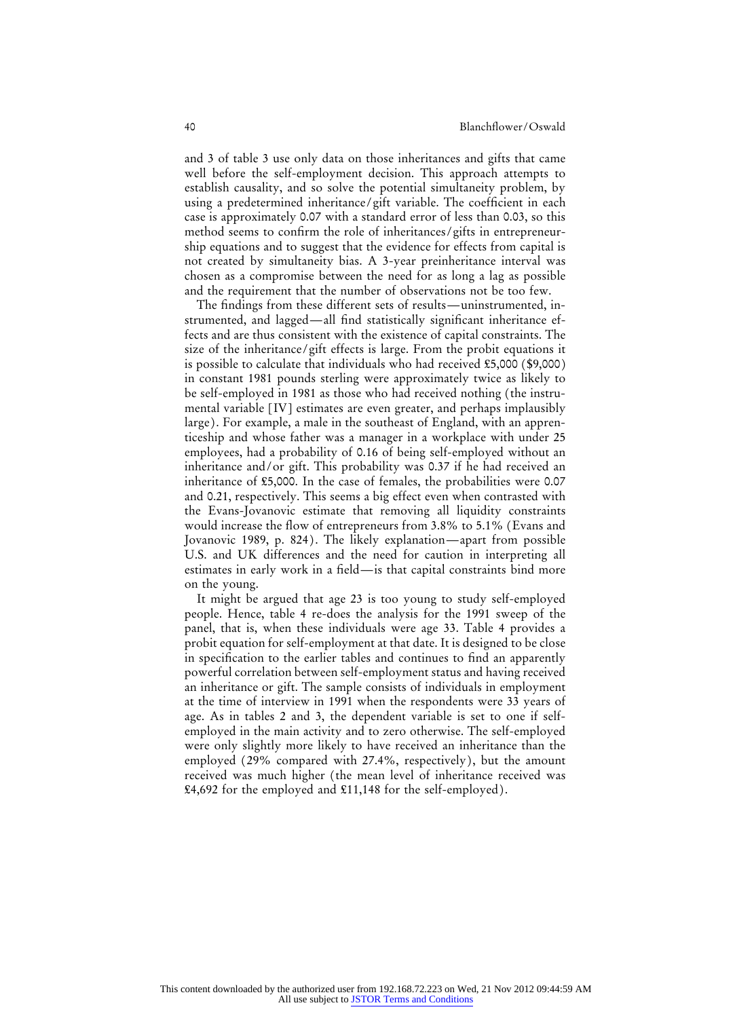and 3 of table 3 use only data on those inheritances and gifts that came well before the self-employment decision. This approach attempts to establish causality, and so solve the potential simultaneity problem, by using a predetermined inheritance/gift variable. The coefficient in each case is approximately 0.07 with a standard error of less than 0.03, so this method seems to confirm the role of inheritances/gifts in entrepreneurship equations and to suggest that the evidence for effects from capital is not created by simultaneity bias. A 3-year preinheritance interval was chosen as a compromise between the need for as long a lag as possible and the requirement that the number of observations not be too few.

The findings from these different sets of results—uninstrumented, instrumented, and lagged—all find statistically significant inheritance effects and are thus consistent with the existence of capital constraints. The size of the inheritance/gift effects is large. From the probit equations it is possible to calculate that individuals who had received £5,000 (\$9,000) in constant 1981 pounds sterling were approximately twice as likely to be self-employed in 1981 as those who had received nothing (the instrumental variable [IV] estimates are even greater, and perhaps implausibly large). For example, a male in the southeast of England, with an apprenticeship and whose father was a manager in a workplace with under 25 employees, had a probability of 0.16 of being self-employed without an inheritance and/or gift. This probability was 0.37 if he had received an inheritance of £5,000. In the case of females, the probabilities were 0.07 and 0.21, respectively. This seems a big effect even when contrasted with the Evans-Jovanovic estimate that removing all liquidity constraints would increase the flow of entrepreneurs from 3.8% to 5.1% (Evans and Jovanovic 1989, p. 824). The likely explanation—apart from possible U.S. and UK differences and the need for caution in interpreting all estimates in early work in a field—is that capital constraints bind more on the young.

It might be argued that age 23 is too young to study self-employed people. Hence, table 4 re-does the analysis for the 1991 sweep of the panel, that is, when these individuals were age 33. Table 4 provides a probit equation for self-employment at that date. It is designed to be close in specification to the earlier tables and continues to find an apparently powerful correlation between self-employment status and having received an inheritance or gift. The sample consists of individuals in employment at the time of interview in 1991 when the respondents were 33 years of age. As in tables 2 and 3, the dependent variable is set to one if selfemployed in the main activity and to zero otherwise. The self-employed were only slightly more likely to have received an inheritance than the employed (29% compared with 27.4%, respectively), but the amount received was much higher (the mean level of inheritance received was £4,692 for the employed and £11,148 for the self-employed).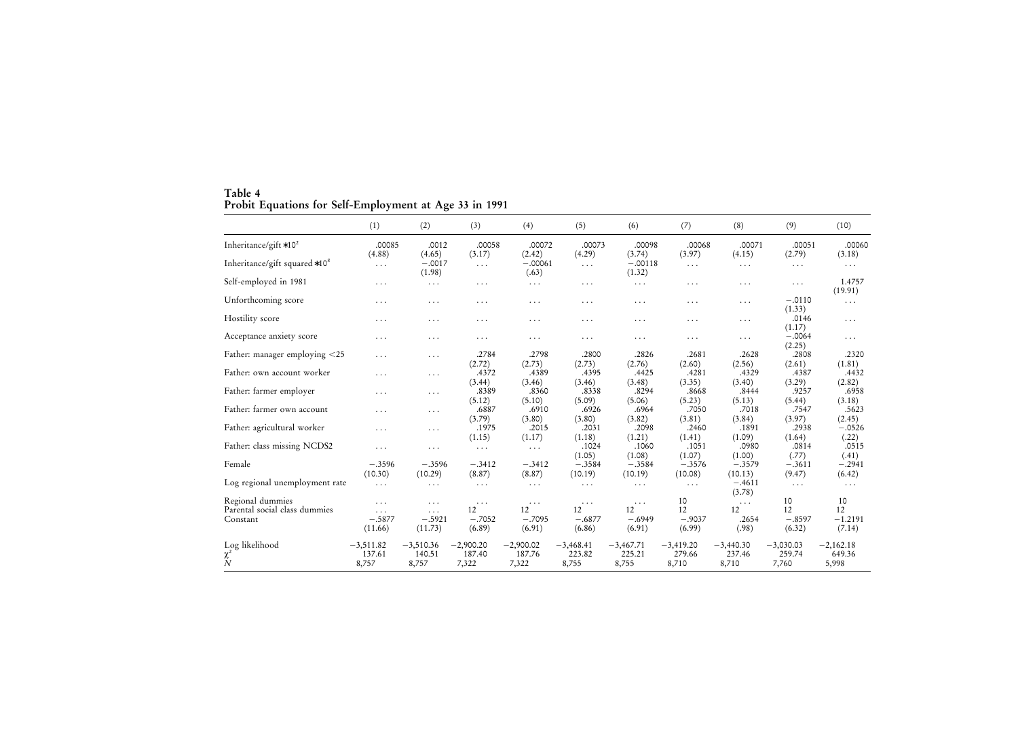| Table 4                                                |  |
|--------------------------------------------------------|--|
|                                                        |  |
| Probit Equations for Self-Employment at Age 33 in 1991 |  |
|                                                        |  |

|                                                   | (1)                            | (2)                            | (3)                            | (4)                            | (5)                            | (6)                            | (7)                            | (8)                            | (9)                            | (10)                           |
|---------------------------------------------------|--------------------------------|--------------------------------|--------------------------------|--------------------------------|--------------------------------|--------------------------------|--------------------------------|--------------------------------|--------------------------------|--------------------------------|
| Inheritance/gift*10 <sup>2</sup>                  | .00085<br>(4.88)               | .0012<br>(4.65)                | .00058<br>(3.17)               | .00072<br>(2.42)               | .00073<br>(4.29)               | .00098<br>(3.74)               | .00068<br>(3.97)               | .00071<br>(4.15)               | .00051<br>(2.79)               | .00060<br>(3.18)               |
| Inheritance/gift squared *10 <sup>8</sup>         | $\cdots$                       | $-.0017$<br>(1.98)             | $\cdots$                       | $-.00061$<br>(.63)             | $\sim$ $\sim$ $\sim$           | $-.00118$<br>(1.32)            | .                              | $\cdots$                       | $\cdots$                       | $\cdots$                       |
| Self-employed in 1981                             | $\cdots$                       | $\cdots$                       | .                              | $\cdots$                       | $\cdots$                       | .                              | .                              | $\cdots$                       | $\cdots$                       | 1.4757<br>(19.91)              |
| Unforthcoming score                               | $\cdots$                       | $\cdots$                       | .                              | $\cdots$                       | $\cdots$                       | .                              | .                              | $\cdots$                       | $-.0110$<br>(1.33)             | $\cdots$                       |
| Hostility score                                   | $\cdots$                       | $\cdots$                       | .                              | .                              | $\ddots$                       | .                              | .                              | $\cdots$                       | .0146<br>(1.17)                | .                              |
| Acceptance anxiety score                          | $\cdots$                       | $\cdots$                       | .                              | $\cdots$                       | $\cdots$                       | .                              | .                              | $\cdots$                       | $-.0064$<br>(2.25)             | $\cdots$                       |
| Father: manager employing <25                     | $\cdots$                       | $\cdots$                       | .2784<br>(2.72)                | .2798<br>(2.73)                | .2800<br>(2.73)                | .2826<br>(2.76)                | .2681<br>(2.60)                | .2628<br>(2.56)                | .2808<br>(2.61)                | .2320<br>(1.81)                |
| Father: own account worker                        | $\cdots$                       | $\cdots$                       | .4372<br>(3.44)                | .4389<br>(3.46)                | .4395<br>(3.46)                | .4425<br>(3.48)                | .4281<br>(3.35)                | .4329<br>(3.40)                | .4387<br>(3.29)                | .4432<br>(2.82)                |
| Father: farmer employer                           | $\cdots$                       | $\cdots$                       | .8389<br>(5.12)                | .8360<br>(5.10)                | .8338<br>(5.09)                | .8294<br>(5.06)                | .8668<br>(5.23)                | .8444<br>(5.13)                | .9257<br>(5.44)                | .6958<br>(3.18)                |
| Father: farmer own account                        | $\cdots$                       | $\cdots$                       | .6887<br>(3.79)                | .6910<br>(3.80)                | .6926<br>(3.80)                | .6964<br>(3.82)                | .7050<br>(3.81)                | .7018<br>(3.84)                | .7547<br>(3.97)                | .5623<br>(2.45)                |
| Father: agricultural worker                       | $\cdots$                       | $\cdots$                       | .1975<br>(1.15)                | .2015<br>(1.17)                | .2031<br>(1.18)                | .2098<br>(1.21)                | .2460<br>(1.41)                | .1891<br>(1.09)                | .2938<br>(1.64)                | $-.0526$<br>(.22)              |
| Father: class missing NCDS2                       | $\cdots$                       | $\cdots$                       | $\cdots$                       | $\cdots$                       | .1024<br>(1.05)                | .1060<br>(1.08)                | .1051<br>(1.07)                | .0980<br>(1.00)                | .0814<br>(.77)                 | .0515<br>(.41)                 |
| Female                                            | $-.3596$<br>(10.30)            | $-.3596$<br>(10.29)            | $-.3412$<br>(8.87)             | $-.3412$<br>(8.87)             | $-.3584$<br>(10.19)            | $-.3584$<br>(10.19)            | $-.3576$<br>(10.08)            | $-.3579$<br>(10.13)            | $-.3611$<br>(9.47)             | $-.2941$<br>(6.42)             |
| Log regional unemployment rate                    | $\cdots$                       | $\cdots$                       | $\cdots$                       | $\cdots$                       | $\ldots$                       | $\cdots$                       | $\cdots$                       | $-.4611$<br>(3.78)             | $\cdots$                       | $\cdots$                       |
| Regional dummies<br>Parental social class dummies | $\cdots$<br>$\cdots$           | $\cdots$<br>$\cdots$           | $\cdots$<br>12                 | $\cdots$<br>12                 | $\cdots$<br>12                 | $\ldots$<br>12                 | 10<br>12                       | $\sim$ $\sim$ $\sim$<br>12     | 10<br>12                       | 10<br>12                       |
| Constant                                          | $-.5877$<br>(11.66)            | $-.5921$<br>(11.73)            | $-.7052$<br>(6.89)             | $-.7095$<br>(6.91)             | $-.6877$<br>(6.86)             | $-.6949$<br>(6.91)             | $-.9037$<br>(6.99)             | .2654<br>(.98)                 | $-.8597$<br>(6.32)             | $-1.2191$<br>(7.14)            |
| Log likelihood<br>$\chi^2$<br>$N$                 | $-3,511.82$<br>137.61<br>8,757 | $-3,510.36$<br>140.51<br>8,757 | $-2,900.20$<br>187.40<br>7,322 | $-2,900.02$<br>187.76<br>7,322 | $-3,468.41$<br>223.82<br>8,755 | $-3,467.71$<br>225.21<br>8,755 | $-3,419.20$<br>279.66<br>8,710 | $-3,440.30$<br>237.46<br>8,710 | $-3,030.03$<br>259.74<br>7,760 | $-2,162.18$<br>649.36<br>5,998 |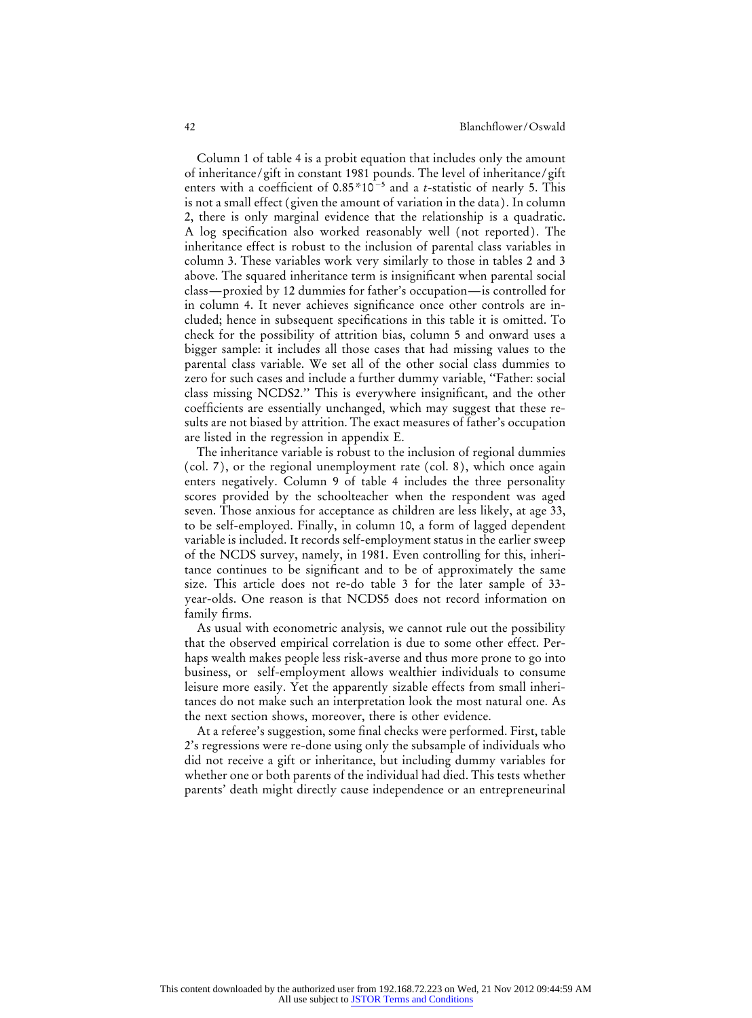Column 1 of table 4 is a probit equation that includes only the amount of inheritance/gift in constant 1981 pounds. The level of inheritance/gift enters with a coefficient of  $0.85*10^{-5}$  and a *t*-statistic of nearly 5. This is not a small effect (given the amount of variation in the data). In column 2, there is only marginal evidence that the relationship is a quadratic. A log specification also worked reasonably well (not reported). The inheritance effect is robust to the inclusion of parental class variables in column 3. These variables work very similarly to those in tables 2 and 3 above. The squared inheritance term is insignificant when parental social class—proxied by 12 dummies for father's occupation—is controlled for in column 4. It never achieves significance once other controls are included; hence in subsequent specifications in this table it is omitted. To check for the possibility of attrition bias, column 5 and onward uses a bigger sample: it includes all those cases that had missing values to the parental class variable. We set all of the other social class dummies to zero for such cases and include a further dummy variable, ''Father: social class missing NCDS2.'' This is everywhere insignificant, and the other coefficients are essentially unchanged, which may suggest that these results are not biased by attrition. The exact measures of father's occupation are listed in the regression in appendix E.

The inheritance variable is robust to the inclusion of regional dummies (col. 7), or the regional unemployment rate (col. 8), which once again enters negatively. Column 9 of table 4 includes the three personality scores provided by the schoolteacher when the respondent was aged seven. Those anxious for acceptance as children are less likely, at age 33, to be self-employed. Finally, in column 10, a form of lagged dependent variable is included. It records self-employment status in the earlier sweep of the NCDS survey, namely, in 1981. Even controlling for this, inheritance continues to be significant and to be of approximately the same size. This article does not re-do table 3 for the later sample of 33 year-olds. One reason is that NCDS5 does not record information on family firms.

As usual with econometric analysis, we cannot rule out the possibility that the observed empirical correlation is due to some other effect. Perhaps wealth makes people less risk-averse and thus more prone to go into business, or self-employment allows wealthier individuals to consume leisure more easily. Yet the apparently sizable effects from small inheritances do not make such an interpretation look the most natural one. As the next section shows, moreover, there is other evidence.

At a referee's suggestion, some final checks were performed. First, table 2's regressions were re-done using only the subsample of individuals who did not receive a gift or inheritance, but including dummy variables for whether one or both parents of the individual had died. This tests whether parents' death might directly cause independence or an entrepreneurinal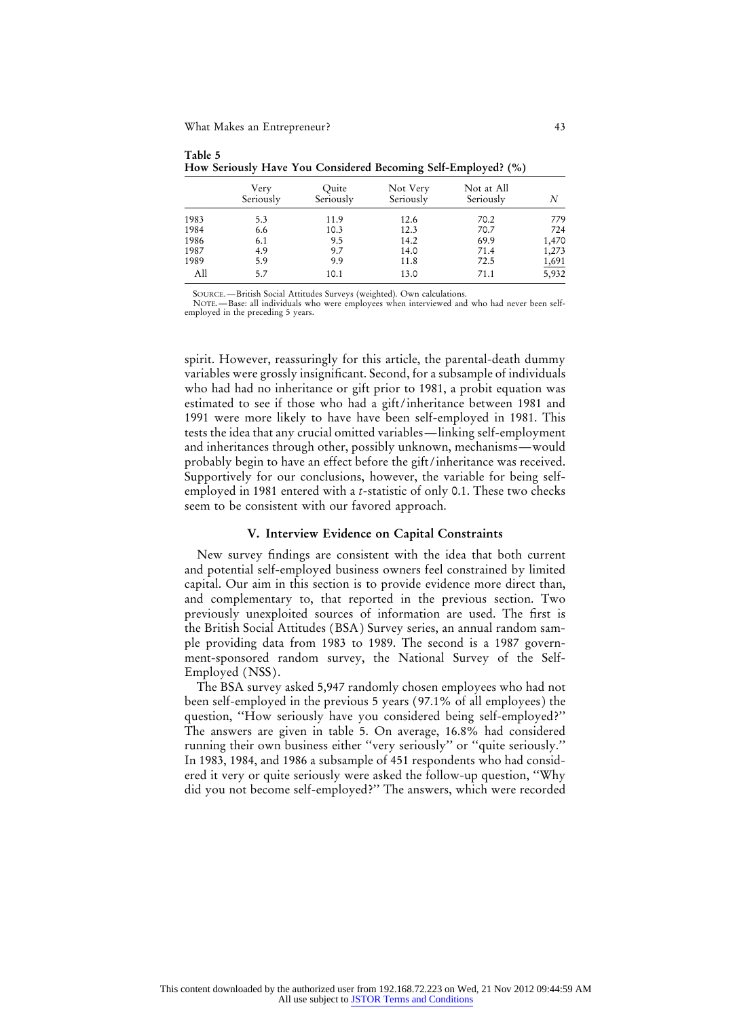**Table 5**

| How seriously Have Tou Considered Becoming Self-Employed: (70) |                   |                    |                       |                         |              |  |
|----------------------------------------------------------------|-------------------|--------------------|-----------------------|-------------------------|--------------|--|
|                                                                | Very<br>Seriously | Ouite<br>Seriously | Not Very<br>Seriously | Not at All<br>Seriously | N            |  |
| 1983                                                           | 5.3               | 11.9               | 12.6                  | 70.2                    | 779          |  |
| 1984                                                           | 6.6               | 10.3               | 12.3                  | 70.7                    | 724          |  |
| 1986                                                           | 6.1               | 9.5                | 14.2                  | 69.9                    | 1,470        |  |
| 1987                                                           | 4.9               | 9.7                | 14.0                  | 71.4                    | 1,273        |  |
| 1989                                                           | 5.9               | 9.9                | 11.8                  | 72.5                    | <u>1,691</u> |  |
| All                                                            | 5.7               | 10.1               | 13.0                  | 71.1                    | 5,932        |  |

 $\mathbf{V}_{\text{eff}}$   $\mathbf{C}_{\text{eff}}$   $\mathbf{H}_{\text{eff}}$   $\mathbf{H}_{\text{eff}}$   $\mathbf{B}_{\text{eff}}$   $\mathbf{C}_{\text{eff}}$   $\mathbf{H}_{\text{eff}}$   $\mathbf{H}_{\text{eff}}$   $\mathbf{H}_{\text{eff}}$   $\mathbf{H}_{\text{eff}}$   $\mathbf{H}_{\text{eff}}$   $\mathbf{H}_{\text{eff}}$   $\mathbf{H}_{\text{eff}}$   $\mathbf{H}_{\text{eff}}$   $\mathbf{H}_{\text{eff}}$   $\mathbf{H}_{\text{eff$ 

SOURCE.—British Social Attitudes Surveys (weighted). Own calculations.

NOTE.—Base: all individuals who were employees when interviewed and who had never been selfemployed in the preceding 5 years.

spirit. However, reassuringly for this article, the parental-death dummy variables were grossly insignificant. Second, for a subsample of individuals who had had no inheritance or gift prior to 1981, a probit equation was estimated to see if those who had a gift/inheritance between 1981 and 1991 were more likely to have have been self-employed in 1981. This tests the idea that any crucial omitted variables—linking self-employment and inheritances through other, possibly unknown, mechanisms—would probably begin to have an effect before the gift/inheritance was received. Supportively for our conclusions, however, the variable for being selfemployed in 1981 entered with a *t*-statistic of only 0.1. These two checks seem to be consistent with our favored approach.

# **V. Interview Evidence on Capital Constraints**

New survey findings are consistent with the idea that both current and potential self-employed business owners feel constrained by limited capital. Our aim in this section is to provide evidence more direct than, and complementary to, that reported in the previous section. Two previously unexploited sources of information are used. The first is the British Social Attitudes (BSA) Survey series, an annual random sample providing data from 1983 to 1989. The second is a 1987 government-sponsored random survey, the National Survey of the Self-Employed (NSS).

The BSA survey asked 5,947 randomly chosen employees who had not been self-employed in the previous 5 years (97.1% of all employees) the question, ''How seriously have you considered being self-employed?'' The answers are given in table 5. On average, 16.8% had considered running their own business either ''very seriously'' or ''quite seriously.'' In 1983, 1984, and 1986 a subsample of 451 respondents who had considered it very or quite seriously were asked the follow-up question, ''Why did you not become self-employed?'' The answers, which were recorded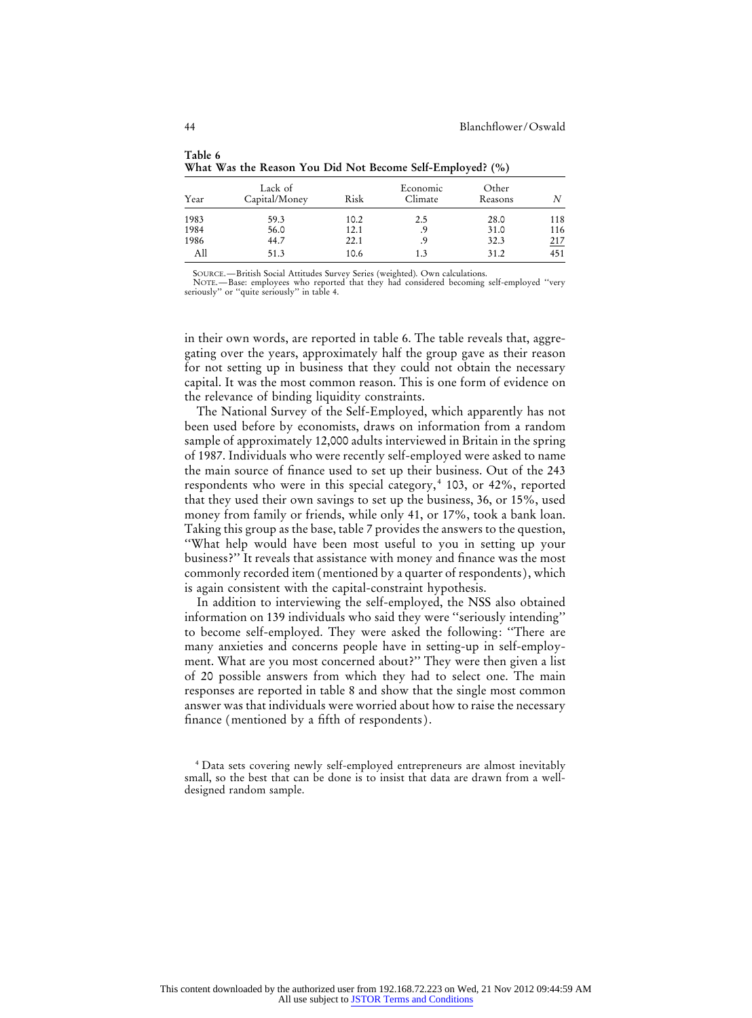| Year | Lack of<br>Capital/Money | Risk | Economic<br>Climate | Other<br>Reasons | N   |  |  |  |
|------|--------------------------|------|---------------------|------------------|-----|--|--|--|
| 1983 | 59.3                     | 10.2 | 2.5                 | 28.0             | 118 |  |  |  |
| 1984 | 56.0                     | 12.1 | .9                  | 31.0             | 116 |  |  |  |
| 1986 | 44.7                     | 22.1 | .9                  | 32.3             | 217 |  |  |  |
| All  | 51.3                     | 10.6 | 1.3                 | 31.2             | 451 |  |  |  |
|      |                          |      |                     |                  |     |  |  |  |

**Table 6 What Was the Reason You Did Not Become Self-Employed? (%)**

SOURCE.—British Social Attitudes Survey Series (weighted). Own calculations. NOTE.—Base: employees who reported that they had considered becoming self-employed ''very seriously'' or ''quite seriously'' in table 4.

in their own words, are reported in table 6. The table reveals that, aggregating over the years, approximately half the group gave as their reason for not setting up in business that they could not obtain the necessary capital. It was the most common reason. This is one form of evidence on the relevance of binding liquidity constraints.

The National Survey of the Self-Employed, which apparently has not been used before by economists, draws on information from a random sample of approximately 12,000 adults interviewed in Britain in the spring of 1987. Individuals who were recently self-employed were asked to name the main source of finance used to set up their business. Out of the 243 respondents who were in this special category,  $4$  103, or 42%, reported that they used their own savings to set up the business, 36, or 15%, used money from family or friends, while only 41, or 17%, took a bank loan. Taking this group as the base, table 7 provides the answers to the question, ''What help would have been most useful to you in setting up your business?'' It reveals that assistance with money and finance was the most commonly recorded item (mentioned by a quarter of respondents), which is again consistent with the capital-constraint hypothesis.

In addition to interviewing the self-employed, the NSS also obtained information on 139 individuals who said they were ''seriously intending'' to become self-employed. They were asked the following: ''There are many anxieties and concerns people have in setting-up in self-employment. What are you most concerned about?'' They were then given a list of 20 possible answers from which they had to select one. The main responses are reported in table 8 and show that the single most common answer was that individuals were worried about how to raise the necessary finance (mentioned by a fifth of respondents).

<sup>4</sup> Data sets covering newly self-employed entrepreneurs are almost inevitably small, so the best that can be done is to insist that data are drawn from a welldesigned random sample.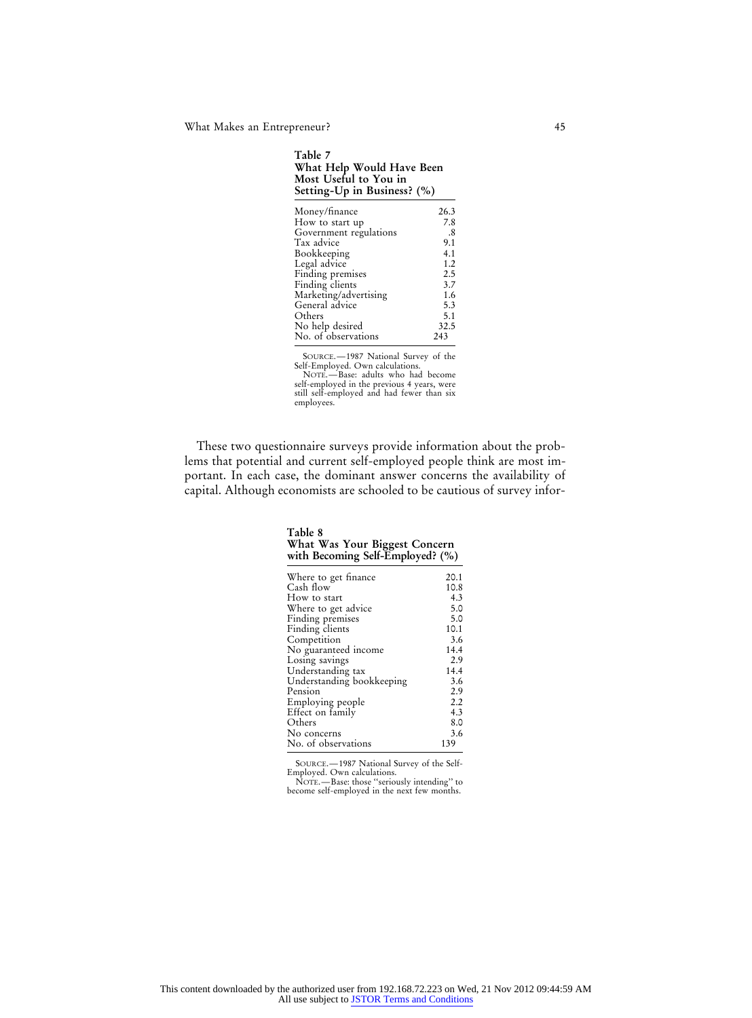| Table 7<br>What Help Would Have Been<br><b>Most Useful to You in</b><br>Setting-Up in Business? (%) |      |  |  |  |  |
|-----------------------------------------------------------------------------------------------------|------|--|--|--|--|
| Money/finance                                                                                       | 26.3 |  |  |  |  |
| How to start up                                                                                     | 7.8  |  |  |  |  |
| Government regulations                                                                              | .8   |  |  |  |  |
| Tax advice                                                                                          | 9.1  |  |  |  |  |
| Bookkeeping                                                                                         | 4.1  |  |  |  |  |
| Legal advice                                                                                        | 1.2  |  |  |  |  |
| Finding premises                                                                                    | 2.5  |  |  |  |  |
| Finding clients                                                                                     | 3.7  |  |  |  |  |
| Marketing/advertising                                                                               | 1.6  |  |  |  |  |
| General advice                                                                                      | 5.3  |  |  |  |  |
| Others                                                                                              | 5.1  |  |  |  |  |
| No help desired                                                                                     | 32.5 |  |  |  |  |
| No. of observations                                                                                 | 243  |  |  |  |  |
|                                                                                                     |      |  |  |  |  |

SOURCE.—1987 National Survey of the Self-Employed. Own calculations. NOTE.—Base: adults who had become self-employed in the previous 4 years, were still self-employed and had fewer than six employees.

These two questionnaire surveys provide information about the problems that potential and current self-employed people think are most important. In each case, the dominant answer concerns the availability of capital. Although economists are schooled to be cautious of survey infor-

**What Was Your Biggest Concern**

**Table 8**

| with Becoming Self-Employed? (%) |      |
|----------------------------------|------|
| Where to get finance             | 20.1 |
| Cash flow                        | 10.8 |
| How to start                     | 4.3  |
| Where to get advice              | 5.0  |
| Finding premises                 | 5.0  |
| Finding clients                  | 10.1 |
| Competition                      | 3.6  |
| No guaranteed income             | 14.4 |
| Losing savings                   | 2.9  |
| Understanding tax                | 14.4 |
| Understanding bookkeeping        | 3.6  |
| Pension                          | 2.9  |
| Employing people                 | 2.2  |
| Effect on family                 | 4.3  |
| Others                           | 8.0  |
| No concerns                      | 3.6  |
| No. of observations              | 139  |

SOURCE.—1987 National Survey of the Self-

Employed. Own calculations. NOTE.—Base: those ''seriously intending'' to become self-employed in the next few months.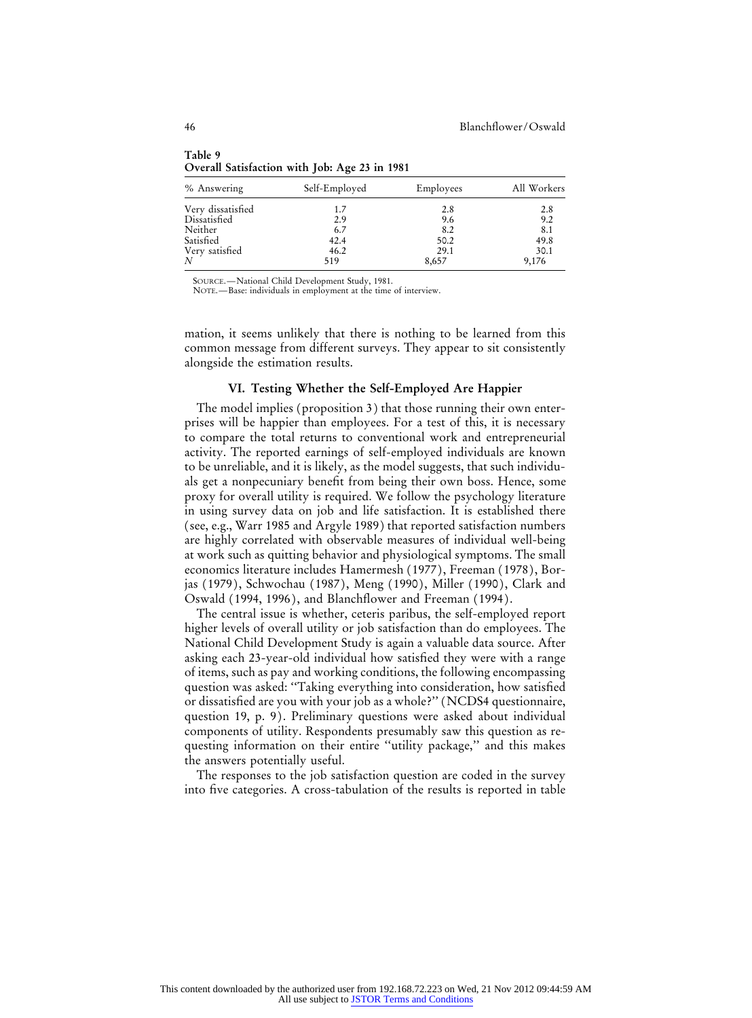| % Answering                       | Self-Employed | Employees | All Workers |
|-----------------------------------|---------------|-----------|-------------|
|                                   | 1.7           | 2.8       | 2.8         |
| Very dissatisfied<br>Dissatisfied | 2.9           | 9.6       | 9.2         |
| Neither                           | 6.7           | 8.2       | 8.1         |
| Satisfied                         | 42.4          | 50.2      | 49.8        |
| Very satisfied                    | 46.2          | 29.1      | 30.1        |
| N                                 | 519           | 8,657     | 9,176       |

**Table 9 Overall Satisfaction with Job: Age 23 in 1981**

SOURCE.—National Child Development Study, 1981.

NOTE.—Base: individuals in employment at the time of interview.

mation, it seems unlikely that there is nothing to be learned from this common message from different surveys. They appear to sit consistently alongside the estimation results.

# **VI. Testing Whether the Self-Employed Are Happier**

The model implies (proposition 3) that those running their own enterprises will be happier than employees. For a test of this, it is necessary to compare the total returns to conventional work and entrepreneurial activity. The reported earnings of self-employed individuals are known to be unreliable, and it is likely, as the model suggests, that such individuals get a nonpecuniary benefit from being their own boss. Hence, some proxy for overall utility is required. We follow the psychology literature in using survey data on job and life satisfaction. It is established there (see, e.g., Warr 1985 and Argyle 1989) that reported satisfaction numbers are highly correlated with observable measures of individual well-being at work such as quitting behavior and physiological symptoms. The small economics literature includes Hamermesh (1977), Freeman (1978), Borjas (1979), Schwochau (1987), Meng (1990), Miller (1990), Clark and Oswald (1994, 1996), and Blanchflower and Freeman (1994).

The central issue is whether, ceteris paribus, the self-employed report higher levels of overall utility or job satisfaction than do employees. The National Child Development Study is again a valuable data source. After asking each 23-year-old individual how satisfied they were with a range of items, such as pay and working conditions, the following encompassing question was asked: ''Taking everything into consideration, how satisfied or dissatisfied are you with your job as a whole?'' (NCDS4 questionnaire, question 19, p. 9). Preliminary questions were asked about individual components of utility. Respondents presumably saw this question as requesting information on their entire ''utility package,'' and this makes the answers potentially useful.

The responses to the job satisfaction question are coded in the survey into five categories. A cross-tabulation of the results is reported in table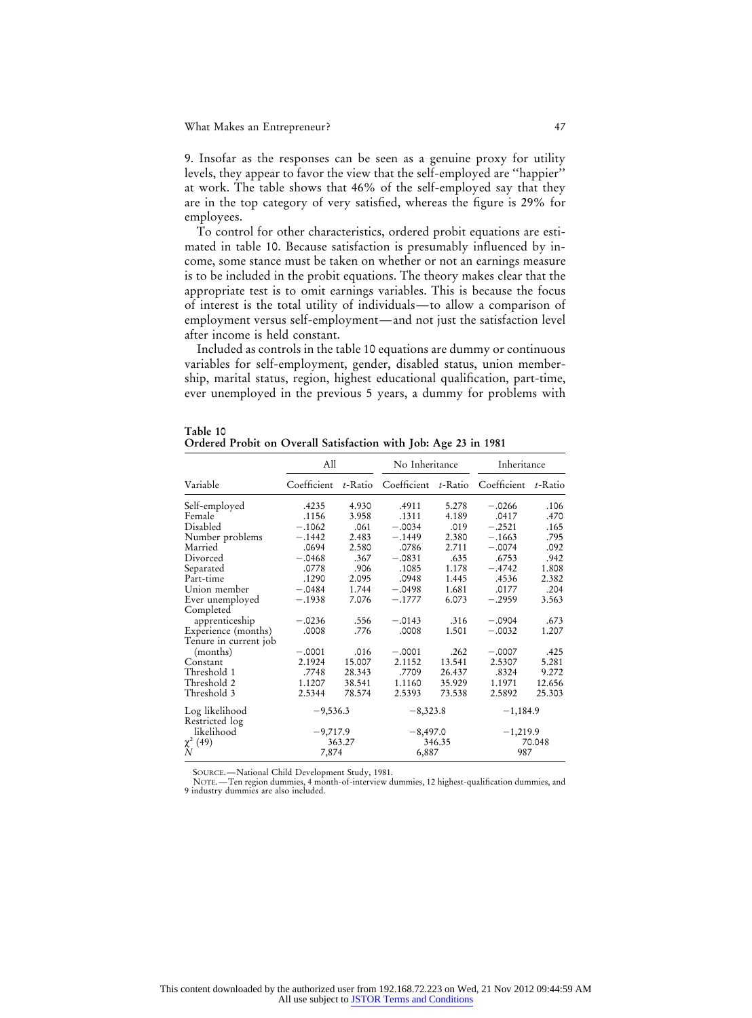9. Insofar as the responses can be seen as a genuine proxy for utility levels, they appear to favor the view that the self-employed are ''happier'' at work. The table shows that 46% of the self-employed say that they are in the top category of very satisfied, whereas the figure is 29% for employees.

To control for other characteristics, ordered probit equations are estimated in table 10. Because satisfaction is presumably influenced by income, some stance must be taken on whether or not an earnings measure is to be included in the probit equations. The theory makes clear that the appropriate test is to omit earnings variables. This is because the focus of interest is the total utility of individuals—to allow a comparison of employment versus self-employment—and not just the satisfaction level after income is held constant.

Included as controls in the table 10 equations are dummy or continuous variables for self-employment, gender, disabled status, union membership, marital status, region, highest educational qualification, part-time, ever unemployed in the previous 5 years, a dummy for problems with

| Table 10                                                        |  |  |
|-----------------------------------------------------------------|--|--|
| Ordered Probit on Overall Satisfaction with Job: Age 23 in 1981 |  |  |

|                                  | All         |         | No Inheritance |         | Inheritance |            |
|----------------------------------|-------------|---------|----------------|---------|-------------|------------|
| Variable                         | Coefficient | t-Ratio | Coefficient    | t-Ratio | Coefficient | $t$ -Ratio |
| Self-employed                    | .4235       | 4.930   | .4911          | 5.278   | $-.0266$    | .106       |
| Female                           | .1156       | 3.958   | .1311          | 4.189   | .0417       | .470       |
| Disabled                         | $-.1062$    | .061    | $-.0034$       | .019    | $-.2521$    | .165       |
| Number problems                  | $-.1442$    | 2.483   | $-.1449$       | 2.380   | $-.1663$    | .795       |
| Married                          | .0694       | 2.580   | .0786          | 2.711   | $-.0074$    | .092       |
| Divorced                         | $-.0468$    | .367    | $-.0831$       | .635    | .6753       | .942       |
| Separated                        | .0778       | .906    | .1085          | 1.178   | $-.4742$    | 1.808      |
| Part-time                        | .1290       | 2.095   | .0948          | 1.445   | .4536       | 2.382      |
| Union member                     | $-.0484$    | 1.744   | $-.0498$       | 1.681   | .0177       | .204       |
| Ever unemployed                  | $-.1938$    | 7.076   | $-.1777$       | 6.073   | $-.2959$    | 3.563      |
| Completed                        |             |         |                |         |             |            |
| apprenticeship                   | $-.0236$    | .556    | $-.0143$       | .316    | $-.0904$    | .673       |
| Experience (months)              | .0008       | .776    | .0008          | 1.501   | $-.0032$    | 1.207      |
| Tenure in current job            |             |         |                |         |             |            |
| (months)                         | $-.0001$    | .016    | $-.0001$       | .262    | $-.0007$    | .425       |
| Constant                         | 2.1924      | 15.007  | 2.1152         | 13.541  | 2.5307      | 5.281      |
| Threshold 1                      | .7748       | 28.343  | .7709          | 26.437  | .8324       | 9.272      |
| Threshold 2                      | 1.1207      | 38.541  | 1.1160         | 35.929  | 1.1971      | 12.656     |
| Threshold 3                      | 2.5344      | 78.574  | 2.5393         | 73.538  | 2.5892      | 25.303     |
| Log likelihood<br>Restricted log | $-9,536.3$  |         | $-8,323.8$     |         | $-1,184.9$  |            |
| likelihood                       | $-9,717.9$  |         | $-8,497.0$     |         | $-1,219.9$  |            |
| $\chi^2$ (49)                    |             | 363.27  |                | 346.35  |             | 70.048     |
| N                                | 7,874       |         | 6,887          |         | 987         |            |

SOURCE.—National Child Development Study, 1981.

NOTE.—Ten region dummies, 4 month-of-interview dummies, 12 highest-qualification dummies, and 9 industry dummies are also included.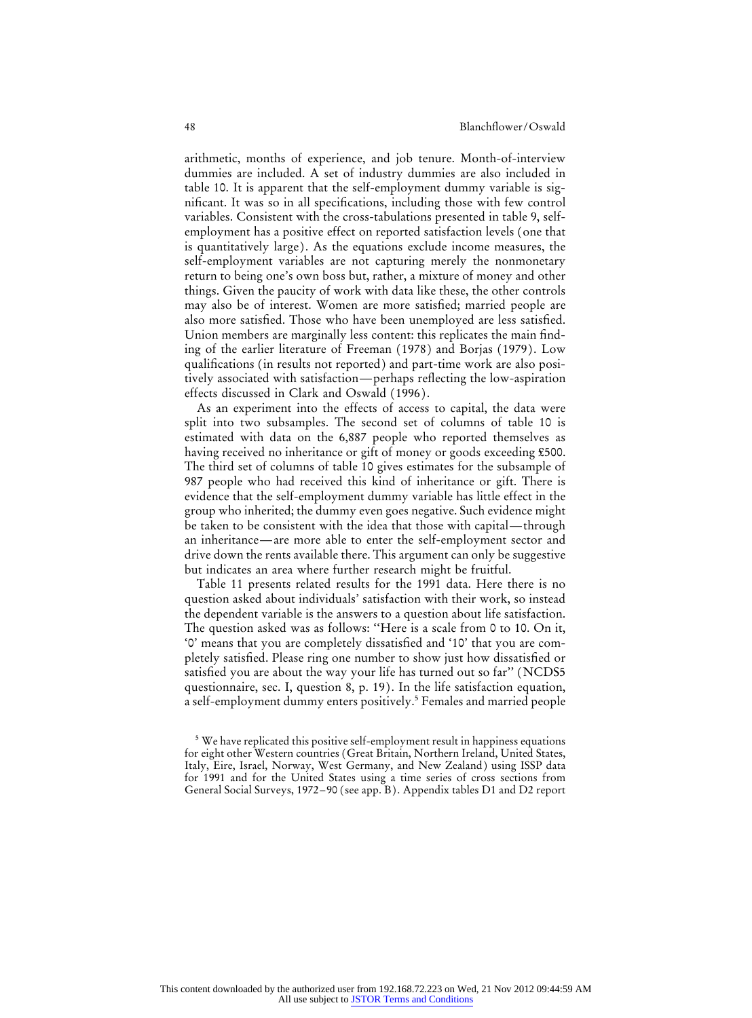arithmetic, months of experience, and job tenure. Month-of-interview dummies are included. A set of industry dummies are also included in table 10. It is apparent that the self-employment dummy variable is significant. It was so in all specifications, including those with few control variables. Consistent with the cross-tabulations presented in table 9, selfemployment has a positive effect on reported satisfaction levels (one that is quantitatively large). As the equations exclude income measures, the self-employment variables are not capturing merely the nonmonetary return to being one's own boss but, rather, a mixture of money and other things. Given the paucity of work with data like these, the other controls may also be of interest. Women are more satisfied; married people are also more satisfied. Those who have been unemployed are less satisfied. Union members are marginally less content: this replicates the main finding of the earlier literature of Freeman (1978) and Borjas (1979). Low qualifications (in results not reported) and part-time work are also positively associated with satisfaction—perhaps reflecting the low-aspiration effects discussed in Clark and Oswald (1996).

As an experiment into the effects of access to capital, the data were split into two subsamples. The second set of columns of table 10 is estimated with data on the 6,887 people who reported themselves as having received no inheritance or gift of money or goods exceeding £500. The third set of columns of table 10 gives estimates for the subsample of 987 people who had received this kind of inheritance or gift. There is evidence that the self-employment dummy variable has little effect in the group who inherited; the dummy even goes negative. Such evidence might be taken to be consistent with the idea that those with capital—through an inheritance—are more able to enter the self-employment sector and drive down the rents available there. This argument can only be suggestive but indicates an area where further research might be fruitful.

Table 11 presents related results for the 1991 data. Here there is no question asked about individuals' satisfaction with their work, so instead the dependent variable is the answers to a question about life satisfaction. The question asked was as follows: ''Here is a scale from 0 to 10. On it, '0' means that you are completely dissatisfied and '10' that you are completely satisfied. Please ring one number to show just how dissatisfied or satisfied you are about the way your life has turned out so far'' (NCDS5 questionnaire, sec. I, question 8, p. 19). In the life satisfaction equation, a self-employment dummy enters positively.<sup>5</sup> Females and married people

<sup>&</sup>lt;sup>5</sup> We have replicated this positive self-employment result in happiness equations for eight other Western countries (Great Britain, Northern Ireland, United States, Italy, Eire, Israel, Norway, West Germany, and New Zealand) using ISSP data for 1991 and for the United States using a time series of cross sections from General Social Surveys, 1972–90 (see app. B). Appendix tables D1 and D2 report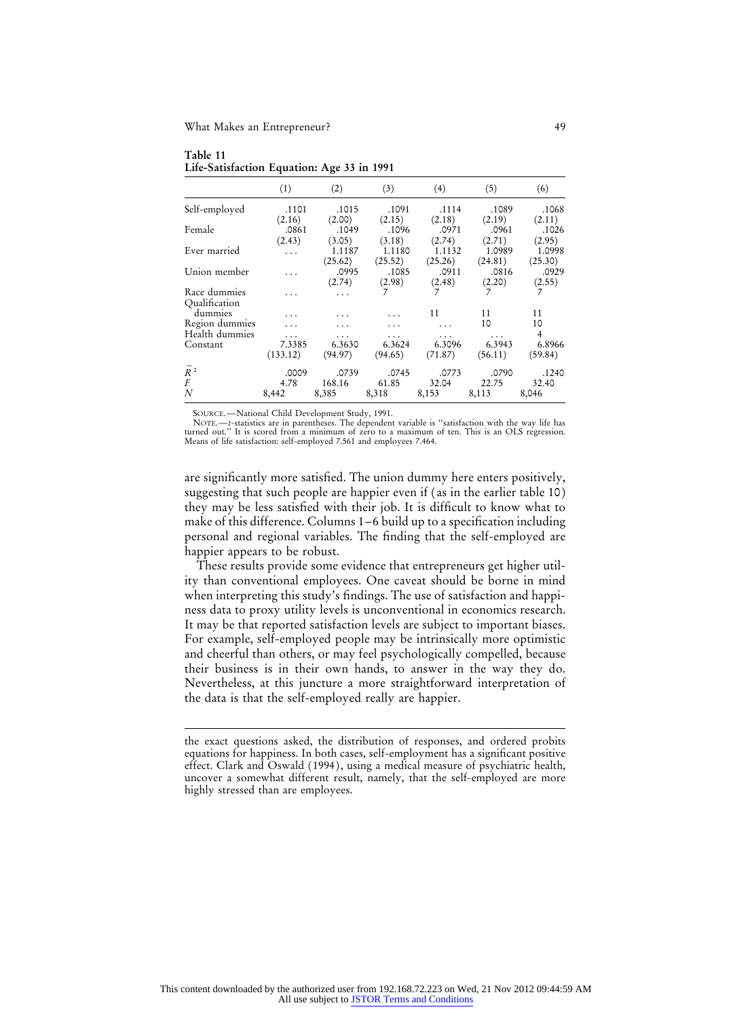What Makes an Entrepreneur? 49

**Table 11 Life-Satisfaction Equation: Age 33 in 1991**

|                | (1)      | (2)     | (3)     | (4)     | (5)     | (6)     |
|----------------|----------|---------|---------|---------|---------|---------|
| Self-employed  | .1101    | .1015   | .1091   | .1114   | .1089   | .1068   |
|                | (2.16)   | (2.00)  | (2.15)  | (2.18)  | (2.19)  | (2.11)  |
| Female         | .0861    | .1049   | .1096   | .0971   | .0961   | .1026   |
|                | (2.43)   | (3.05)  | (3.18)  | (2.74)  | (2.71)  | (2.95)  |
| Ever married   | .        | 1.1187  | 1.1180  | 1.1132  | 1.0989  | 1.0998  |
|                |          | (25.62) | (25.52) | (25.26) | (24.81) | (25.30) |
| Union member   | .        | .0995   | .1085   | .0911   | .0816   | .0929   |
|                |          | (2.74)  | (2.98)  | (2.48)  | (2.20)  | (2.55)  |
| Race dummies   | .        | .       | 7       |         |         | 7       |
| Oualification  |          |         |         |         |         |         |
| dummies        | .        |         |         | 11      | 11      | 11      |
| Region dummies |          |         |         |         | 10      | 10      |
| Health dummies | .        |         |         |         |         | 4       |
| Constant       | 7.3385   | 6.3630  | 6.3624  | 6.3096  | 6.3943  | 6.8966  |
|                | (133.12) | (94.97) | (94.65) | (71.87) | (56.11) | (59.84) |
| $R^2$          | .0009    | .0739   | .0745   | .0773   | .0790   | .1240   |
| F              | 4.78     | 168.16  | 61.85   | 32.04   | 22.75   | 32.40   |
| N              |          |         |         |         |         |         |
|                | 8.442    | 8,385   | 8,318   | 8,153   | 8,113   | 8,046   |

SOURCE.—National Child Development Study, 1991.

NOTE.—*t*-statistics are in parentheses. The dependent variable is "satisfaction with the way life has turned out." It is scored from a minimum of zero to a maximum of ten. This is an OLS regression. Means of life satisfaction: self-employed 7.561 and employees 7.464.

are significantly more satisfied. The union dummy here enters positively, suggesting that such people are happier even if (as in the earlier table 10) they may be less satisfied with their job. It is difficult to know what to make of this difference. Columns 1–6 build up to a specification including personal and regional variables. The finding that the self-employed are happier appears to be robust.

These results provide some evidence that entrepreneurs get higher utility than conventional employees. One caveat should be borne in mind when interpreting this study's findings. The use of satisfaction and happiness data to proxy utility levels is unconventional in economics research. It may be that reported satisfaction levels are subject to important biases. For example, self-employed people may be intrinsically more optimistic and cheerful than others, or may feel psychologically compelled, because their business is in their own hands, to answer in the way they do. Nevertheless, at this juncture a more straightforward interpretation of the data is that the self-employed really are happier.

the exact questions asked, the distribution of responses, and ordered probits equations for happiness. In both cases, self-employment has a significant positive effect. Clark and Oswald (1994), using a medical measure of psychiatric health, uncover a somewhat different result, namely, that the self-employed are more highly stressed than are employees.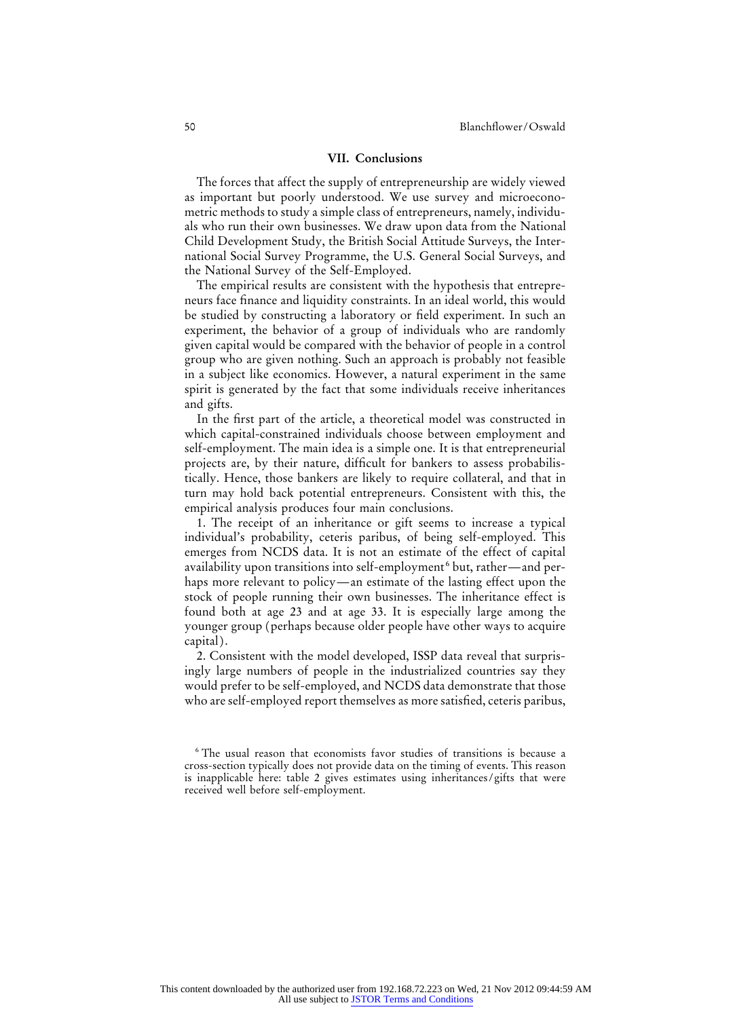# **VII. Conclusions**

The forces that affect the supply of entrepreneurship are widely viewed as important but poorly understood. We use survey and microeconometric methods to study a simple class of entrepreneurs, namely, individuals who run their own businesses. We draw upon data from the National Child Development Study, the British Social Attitude Surveys, the International Social Survey Programme, the U.S. General Social Surveys, and the National Survey of the Self-Employed.

The empirical results are consistent with the hypothesis that entrepreneurs face finance and liquidity constraints. In an ideal world, this would be studied by constructing a laboratory or field experiment. In such an experiment, the behavior of a group of individuals who are randomly given capital would be compared with the behavior of people in a control group who are given nothing. Such an approach is probably not feasible in a subject like economics. However, a natural experiment in the same spirit is generated by the fact that some individuals receive inheritances and gifts.

In the first part of the article, a theoretical model was constructed in which capital-constrained individuals choose between employment and self-employment. The main idea is a simple one. It is that entrepreneurial projects are, by their nature, difficult for bankers to assess probabilistically. Hence, those bankers are likely to require collateral, and that in turn may hold back potential entrepreneurs. Consistent with this, the empirical analysis produces four main conclusions.

1. The receipt of an inheritance or gift seems to increase a typical individual's probability, ceteris paribus, of being self-employed. This emerges from NCDS data. It is not an estimate of the effect of capital availability upon transitions into self-employment<sup>6</sup> but, rather—and perhaps more relevant to policy—an estimate of the lasting effect upon the stock of people running their own businesses. The inheritance effect is found both at age 23 and at age 33. It is especially large among the younger group (perhaps because older people have other ways to acquire capital).

2. Consistent with the model developed, ISSP data reveal that surprisingly large numbers of people in the industrialized countries say they would prefer to be self-employed, and NCDS data demonstrate that those who are self-employed report themselves as more satisfied, ceteris paribus,

<sup>6</sup> The usual reason that economists favor studies of transitions is because a cross-section typically does not provide data on the timing of events. This reason is inapplicable here: table 2 gives estimates using inheritances/gifts that were received well before self-employment.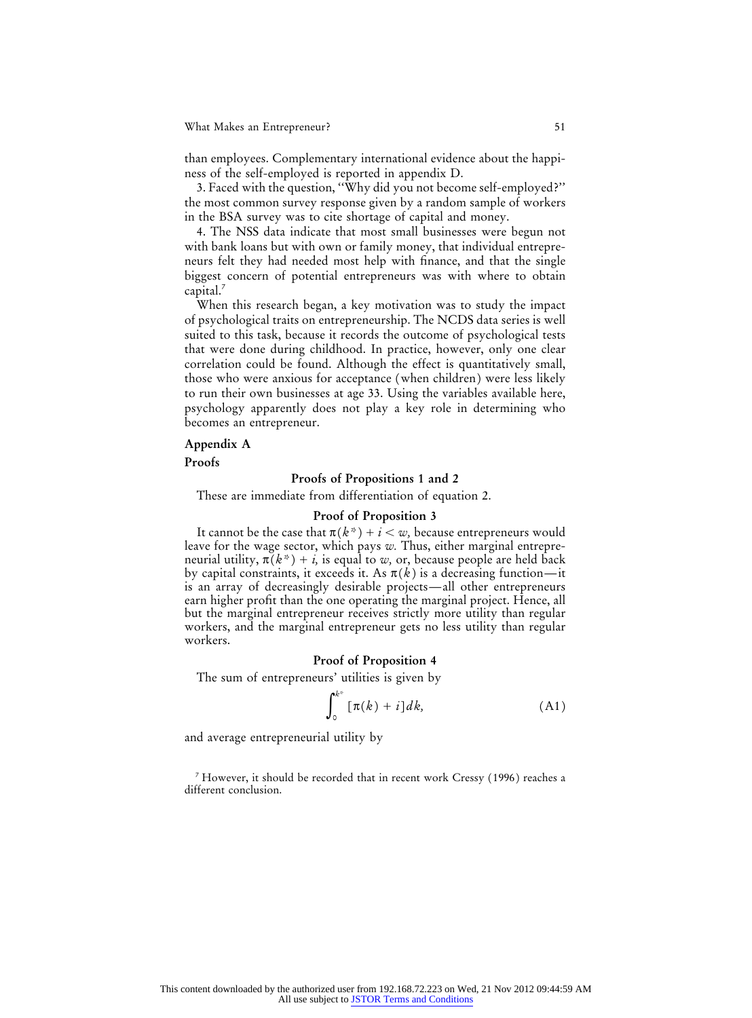than employees. Complementary international evidence about the happiness of the self-employed is reported in appendix D.

3. Faced with the question, ''Why did you not become self-employed?'' the most common survey response given by a random sample of workers in the BSA survey was to cite shortage of capital and money.

4. The NSS data indicate that most small businesses were begun not with bank loans but with own or family money, that individual entrepreneurs felt they had needed most help with finance, and that the single biggest concern of potential entrepreneurs was with where to obtain capital.<sup>7</sup>

When this research began, a key motivation was to study the impact of psychological traits on entrepreneurship. The NCDS data series is well suited to this task, because it records the outcome of psychological tests that were done during childhood. In practice, however, only one clear correlation could be found. Although the effect is quantitatively small, those who were anxious for acceptance (when children) were less likely to run their own businesses at age 33. Using the variables available here, psychology apparently does not play a key role in determining who becomes an entrepreneur.

# **Appendix A**

# **Proofs**

# **Proofs of Propositions 1 and 2**

These are immediate from differentiation of equation 2.

# **Proof of Proposition 3**

It cannot be the case that  $\pi(k^*) + i < w$ , because entrepreneurs would leave for the wage sector, which pays *w.* Thus, either marginal entrepreneurial utility,  $\pi(k^*) + i$ , is equal to *w*, or, because people are held back by capital constraints, it exceeds it. As  $\pi(k)$  is a decreasing function—it is an array of decreasingly desirable projects—all other entrepreneurs earn higher profit than the one operating the marginal project. Hence, all but the marginal entrepreneur receives strictly more utility than regular workers, and the marginal entrepreneur gets no less utility than regular workers.

### **Proof of Proposition 4**

The sum of entrepreneurs' utilities is given by

$$
\int_0^{k^*} \left[ \pi(k) + i \right] dk, \tag{A1}
$$

and average entrepreneurial utility by

<sup>7</sup> However, it should be recorded that in recent work Cressy (1996) reaches a different conclusion.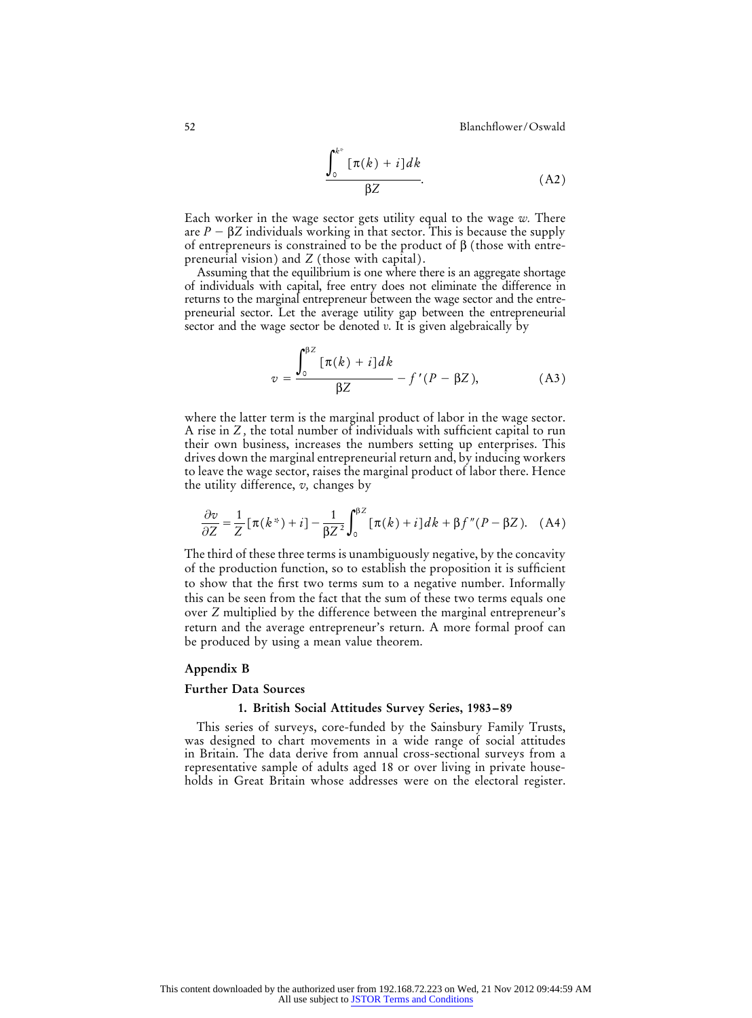52 Blanchflower/Oswald

$$
\frac{\int_0^{k^*} \left[ \pi(k) + i \right] dk}{\beta Z}.
$$
 (A2)

Each worker in the wage sector gets utility equal to the wage *w.* There are  $P - \beta Z$  individuals working in that sector. This is because the supply of entrepreneurs is constrained to be the product of  $\beta$  (those with entrepreneurial vision) and *Z* (those with capital).

Assuming that the equilibrium is one where there is an aggregate shortage of individuals with capital, free entry does not eliminate the difference in returns to the marginal entrepreneur between the wage sector and the entrepreneurial sector. Let the average utility gap between the entrepreneurial sector and the wage sector be denoted  $v$ . It is given algebraically by

$$
v = \frac{\int_0^{\beta Z} \left[ \pi(k) + i \right] dk}{\beta Z} - f'(P - \beta Z), \tag{A3}
$$

where the latter term is the marginal product of labor in the wage sector. A rise in *Z ,* the total number of individuals with sufficient capital to run their own business, increases the numbers setting up enterprises. This drives down the marginal entrepreneurial return and, by inducing workers to leave the wage sector, raises the marginal product of labor there. Hence the utility difference,  $v$ , changes by

$$
\frac{\partial v}{\partial Z} = \frac{1}{Z} \left[ \pi(k^*) + i \right] - \frac{1}{\beta Z^2} \int_0^{\beta Z} \left[ \pi(k) + i \right] dk + \beta f''(P - \beta Z). \quad (A4)
$$

The third of these three terms is unambiguously negative, by the concavity of the production function, so to establish the proposition it is sufficient to show that the first two terms sum to a negative number. Informally this can be seen from the fact that the sum of these two terms equals one over *Z* multiplied by the difference between the marginal entrepreneur's return and the average entrepreneur's return. A more formal proof can be produced by using a mean value theorem.

# **Appendix B**

# **Further Data Sources**

#### **1. British Social Attitudes Survey Series, 1983–89**

This series of surveys, core-funded by the Sainsbury Family Trusts, was designed to chart movements in a wide range of social attitudes in Britain. The data derive from annual cross-sectional surveys from a representative sample of adults aged 18 or over living in private households in Great Britain whose addresses were on the electoral register.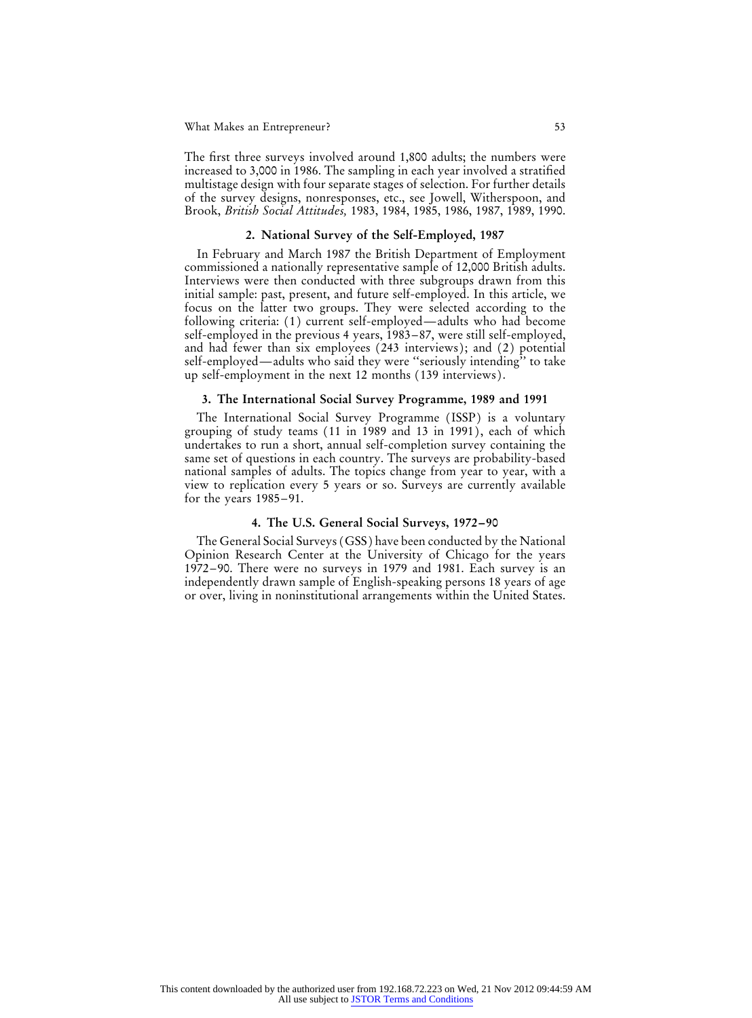The first three surveys involved around 1,800 adults; the numbers were increased to 3,000 in 1986. The sampling in each year involved a stratified multistage design with four separate stages of selection. For further details of the survey designs, nonresponses, etc., see Jowell, Witherspoon, and Brook, *British Social Attitudes,* 1983, 1984, 1985, 1986, 1987, 1989, 1990.

# **2. National Survey of the Self-Employed, 1987**

In February and March 1987 the British Department of Employment commissioned a nationally representative sample of 12,000 British adults. Interviews were then conducted with three subgroups drawn from this initial sample: past, present, and future self-employed. In this article, we focus on the latter two groups. They were selected according to the following criteria: (1) current self-employed—adults who had become self-employed in the previous 4 years, 1983–87, were still self-employed, and had fewer than six employees (243 interviews); and (2) potential self-employed—adults who said they were ''seriously intending'' to take up self-employment in the next 12 months (139 interviews).

#### **3. The International Social Survey Programme, 1989 and 1991**

The International Social Survey Programme (ISSP) is a voluntary grouping of study teams (11 in 1989 and 13 in 1991), each of which undertakes to run a short, annual self-completion survey containing the same set of questions in each country. The surveys are probability-based national samples of adults. The topics change from year to year, with a view to replication every 5 years or so. Surveys are currently available for the years 1985–91.

# **4. The U.S. General Social Surveys, 1972–90**

The General Social Surveys (GSS) have been conducted by the National Opinion Research Center at the University of Chicago for the years 1972–90. There were no surveys in 1979 and 1981. Each survey is an independently drawn sample of English-speaking persons 18 years of age or over, living in noninstitutional arrangements within the United States.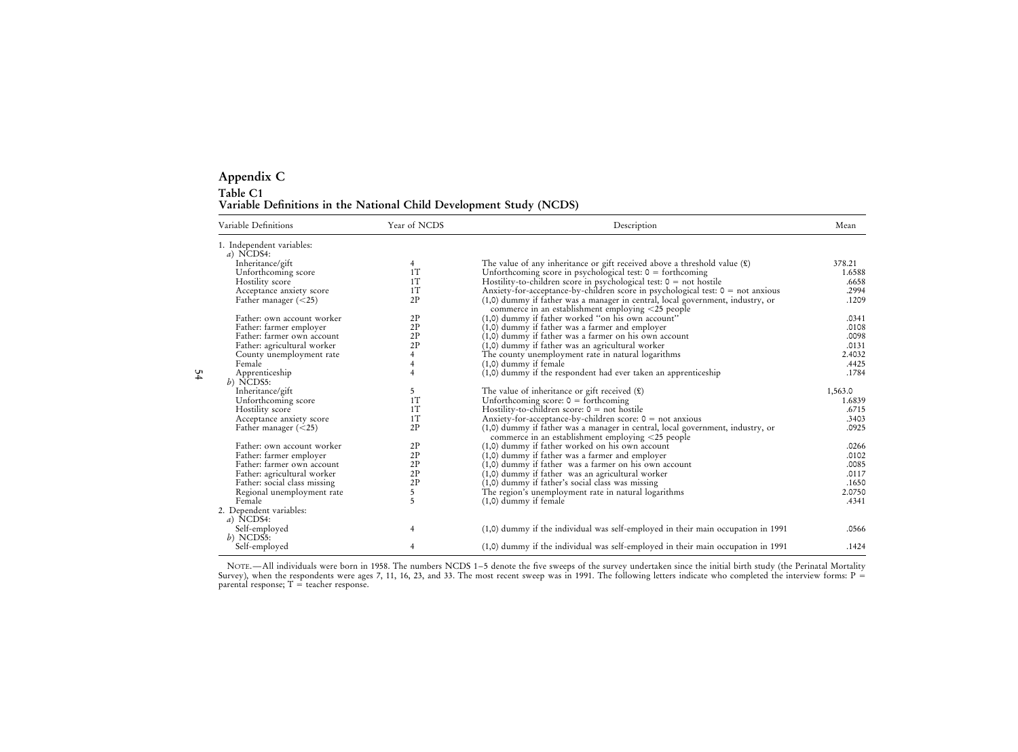| Appendix C                                                          |
|---------------------------------------------------------------------|
| Table C1                                                            |
| Variable Definitions in the National Child Development Study (NCDS) |

54

| Variable Definitions         | Year of NCDS   | Description                                                                        | Mean    |
|------------------------------|----------------|------------------------------------------------------------------------------------|---------|
| 1. Independent variables:    |                |                                                                                    |         |
| $a)$ NCDS4:                  |                |                                                                                    |         |
| Inheritance/gift             | $\overline{4}$ | The value of any inheritance or gift received above a threshold value $(\hat{x})$  | 378.21  |
| Unforthcoming score          | 1T             | Unforthcoming score in psychological test: $0 =$ forthcoming                       | 1.6588  |
| Hostility score              | 1T             | Hostility-to-children score in psychological test: $0 = not$ hostile               | .6658   |
| Acceptance anxiety score     | 1T             | Anxiety-for-acceptance-by-children score in psychological test: $0 = not$ anxious  | .2994   |
| Father manager $(<25)$       | 2P             | (1,0) dummy if father was a manager in central, local government, industry, or     | .1209   |
|                              |                | commerce in an establishment employing <25 people                                  |         |
| Father: own account worker   | 2P             | (1,0) dummy if father worked "on his own account"                                  | .0341   |
| Father: farmer employer      | 2P             | (1,0) dummy if father was a farmer and employer                                    | .0108   |
| Father: farmer own account   | 2P             | (1,0) dummy if father was a farmer on his own account                              | .0098   |
| Father: agricultural worker  | 2P             | (1,0) dummy if father was an agricultural worker                                   | .0131   |
| County unemployment rate     | 4              | The county unemployment rate in natural logarithms                                 | 2.4032  |
| Female                       |                | $(1,0)$ dummy if female                                                            | .4425   |
| Apprenticeship               | $\overline{4}$ | $(1,0)$ dummy if the respondent had ever taken an apprenticeship                   | .1784   |
| $b)$ NCDS5:                  |                |                                                                                    |         |
| Inheritance/gift             | 5              | The value of inheritance or gift received $(\mathfrak{k})$                         | 1,563.0 |
| Unforthcoming score          | 1T             | Unforthcoming score: $0 =$ forthcoming                                             | 1.6839  |
| Hostility score              | 1T             | Hostility-to-children score: $0 = not hostile$                                     | .6715   |
| Acceptance anxiety score     | 1T             | Anxiety-for-acceptance-by-children score: $0 = not$ anxious                        | .3403   |
| Father manager $(<25)$       | 2P             | (1,0) dummy if father was a manager in central, local government, industry, or     | .0925   |
|                              |                | commerce in an establishment employing <25 people                                  |         |
| Father: own account worker   | 2P             | (1,0) dummy if father worked on his own account                                    | .0266   |
| Father: farmer employer      | 2P             | (1,0) dummy if father was a farmer and employer                                    | .0102   |
| Father: farmer own account   | 2P             | (1,0) dummy if father was a farmer on his own account                              | .0085   |
| Father: agricultural worker  | 2P             | (1,0) dummy if father was an agricultural worker                                   | .0117   |
| Father: social class missing | 2P             | (1,0) dummy if father's social class was missing                                   | .1650   |
| Regional unemployment rate   | 5              | The region's unemployment rate in natural logarithms                               | 2.0750  |
| Female                       | 5              | $(1,0)$ dummy if female                                                            | .4341   |
| 2. Dependent variables:      |                |                                                                                    |         |
| $a)$ NCDS4:                  |                |                                                                                    |         |
| Self-employed                | 4              | $(1,0)$ dummy if the individual was self-employed in their main occupation in 1991 | .0566   |
| $b)$ NCDS5:                  |                |                                                                                    |         |
| Self-employed                | 4              | $(1,0)$ dummy if the individual was self-employed in their main occupation in 1991 | .1424   |

NOTE.—All individuals were born in 1958. The numbers NCDS 1–5 denote the five sweeps of the survey undertaken since the initial birth study (the Perinatal Mortality Survey), when the respondents were ages 7, 11, 16, 23, an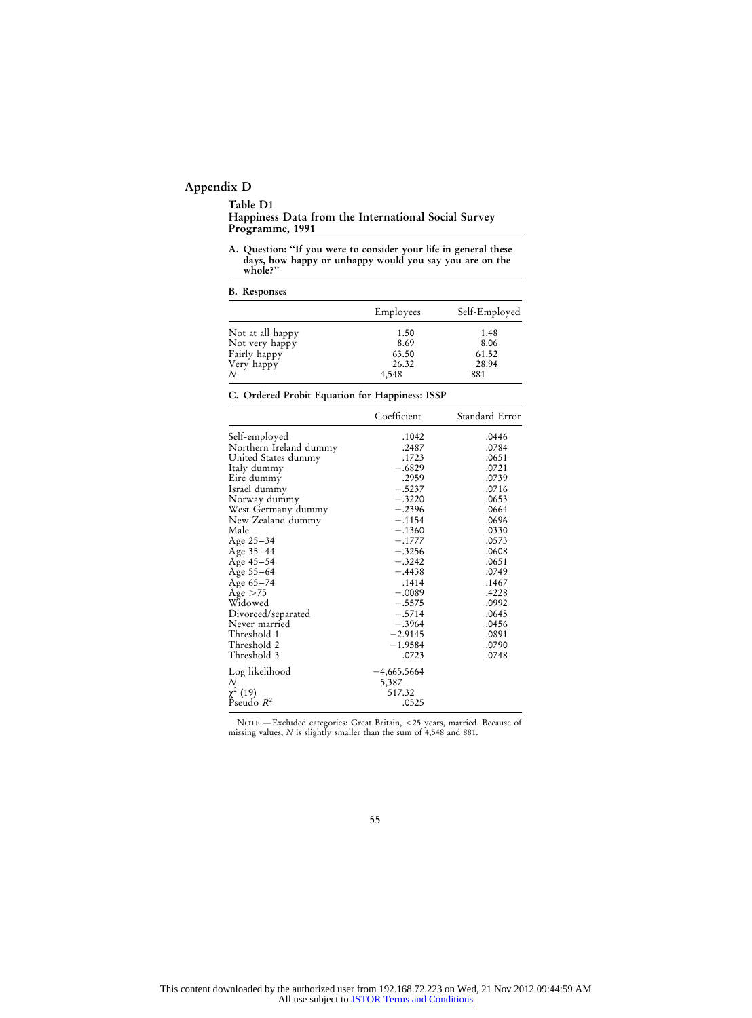# **Appendix D**

| Table D1<br>Happiness Data from the International Social Survey<br>Programme, 1991 |  |
|------------------------------------------------------------------------------------|--|
|------------------------------------------------------------------------------------|--|

**A. Question: ''If you were to consider your life in general these days, how happy or unhappy would you say you are on the whole?''**

#### **B. Responses**

| Employees | Self-Employed |
|-----------|---------------|
| 1.50      | 1.48          |
| 8.69      | 8.06          |
| 63.50     | 61.52         |
| 26.32     | 28.94         |
| 4,548     | 881           |
|           |               |

# **C. Ordered Probit Equation for Happiness: ISSP**

|                        | Coefficient   | Standard Error |
|------------------------|---------------|----------------|
| Self-employed          | .1042         | .0446          |
| Northern Ireland dummy | .2487         | .0784          |
| United States dummy    | .1723         | .0651          |
| Italy dummy            | $-.6829$      | .0721          |
| Eire dummy             | .2959         | .0739          |
| Israel dummy           | $-.5237$      | .0716          |
| Norway dummy           | $-.3220$      | .0653          |
| West Germany dummy     | $-.2396$      | .0664          |
| New Zealand dummy      | $-.1154$      | .0696          |
| Male                   | $-.1360$      | .0330          |
| Age $25 - 34$          | $-.1777$      | .0573          |
| Age $35-44$            | $-.3256$      | .0608          |
| Age $45 - 54$          | $-.3242$      | .0651          |
| Age $55-64$            | $-.4438$      | .0749          |
| Age 65-74              | .1414         | .1467          |
| Age $>75$              | $-.0089$      | .4228          |
| Widowed                | $-.5575$      | .0992          |
| Divorced/separated     | $-.5714$      | .0645          |
| Never married          | $-.3964$      | .0456          |
| Threshold 1            | $-2.9145$     | .0891          |
| Threshold 2            | $-1.9584$     | .0790          |
| Threshold 3            | .0723         | .0748          |
| Log likelihood         | $-4,665.5664$ |                |
| N                      | 5,387         |                |
| $\chi^2$ (19)          | 517.32        |                |
| Pseudo $R^2$           | .0525         |                |

NOTE.—Excluded categories: Great Britain, <25 years, married. Because of missing values, *N* is slightly smaller than the sum of 4,548 and 881.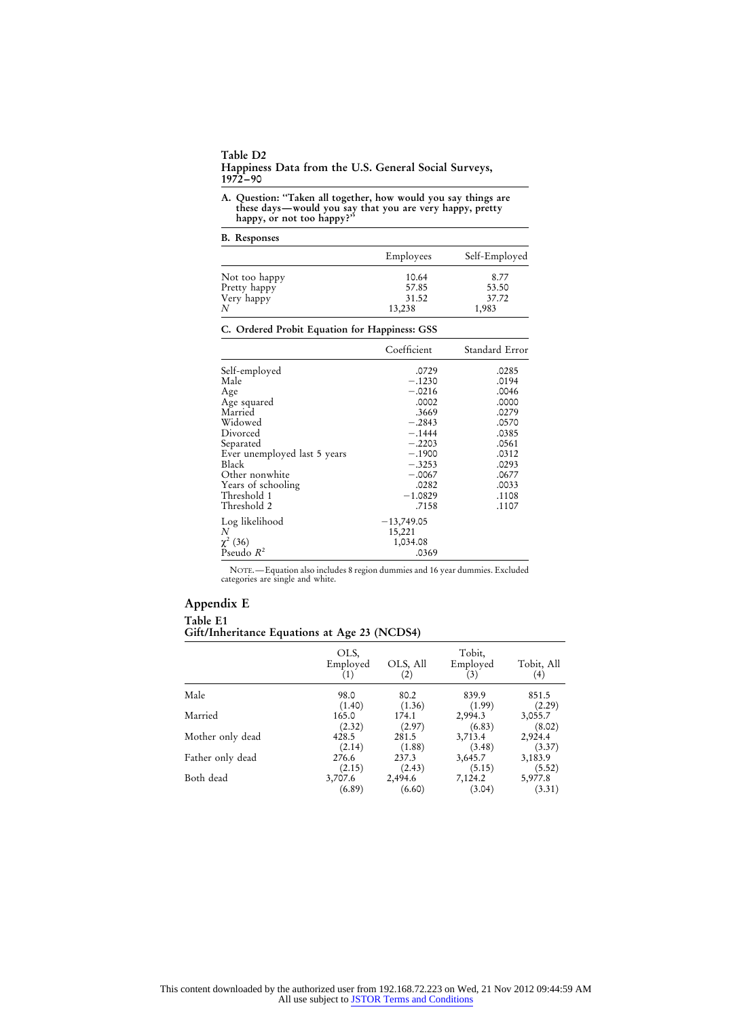| Table D <sub>2</sub><br>Happiness Data from the U.S. General Social Surveys, |  |
|------------------------------------------------------------------------------|--|
| $1972 - 90$                                                                  |  |

| A. Question: "Taken all together, how would you say things are |
|----------------------------------------------------------------|
| these days—would you say that you are very happy, pretty       |
| happy, or not too happy?"                                      |

|  | <b>B.</b> Responses |
|--|---------------------|
|--|---------------------|

|               | Employees | Self-Employed |  |
|---------------|-----------|---------------|--|
| Not too happy | 10.64     | 8.77          |  |
| Pretty happy  | 57.85     | 53.50         |  |
| Very happy    | 31.52     | 37.72         |  |
| N             | 13,238    | 1,983         |  |

**C. Ordered Probit Equation for Happiness: GSS**

|                              | Coefficient  | Standard Error |
|------------------------------|--------------|----------------|
| Self-employed                | .0729        | .0285          |
| Male                         | $-.1230$     | .0194          |
| Age                          | $-.0216$     | .0046          |
| Age squared                  | .0002        | .0000          |
| Married                      | .3669        | .0279          |
| Widowed                      | $-.2843$     | .0570          |
| Divorced                     | $-.1444$     | .0385          |
| Separated                    | $-.2203$     | .0561          |
| Ever unemployed last 5 years | $-.1900$     | .0312          |
| Black                        | $-.3253$     | .0293          |
| Other nonwhite               | $-.0067$     | .0677          |
| Years of schooling           | .0282        | .0033          |
| Threshold 1                  | $-1.0829$    | .1108          |
| Threshold 2                  | .7158        | .1107          |
| Log likelihood               | $-13,749.05$ |                |
| N                            | 15,221       |                |
| $\chi^2$ (36)                | 1,034.08     |                |
| Pseudo $R^2$                 | .0369        |                |

NOTE.—Equation also includes 8 region dummies and 16 year dummies. Excluded categories are single and white.

# **Appendix E Table E1 Gift/Inheritance Equations at Age 23 (NCDS4)**

|                  | OLS,<br>Employed<br>(1)     | OLS, All<br>(2)             | Tobit,<br>Employed<br>(3)   | Tobit, All<br>(4)           |
|------------------|-----------------------------|-----------------------------|-----------------------------|-----------------------------|
| Male             | 98.0                        | 80.2                        | 839.9                       | 851.5                       |
| Married          | (1.40)<br>165.0             | (1.36)<br>174.1             | (1.99)<br>2,994.3           | (2.29)<br>3,055.7           |
|                  | (2.32)                      | (2.97)                      | (6.83)                      | (8.02)                      |
| Mother only dead | 428.5<br>(2.14)             | 281.5<br>(1.88)             | 3,713.4<br>(3.48)           | 2,924.4<br>(3.37)           |
| Father only dead | 276.6                       | 237.3                       | 3,645.7                     | 3,183.9                     |
| Both dead        | (2.15)<br>3,707.6<br>(6.89) | (2.43)<br>2,494.6<br>(6.60) | (5.15)<br>7,124.2<br>(3.04) | (5.52)<br>5,977.8<br>(3.31) |
|                  |                             |                             |                             |                             |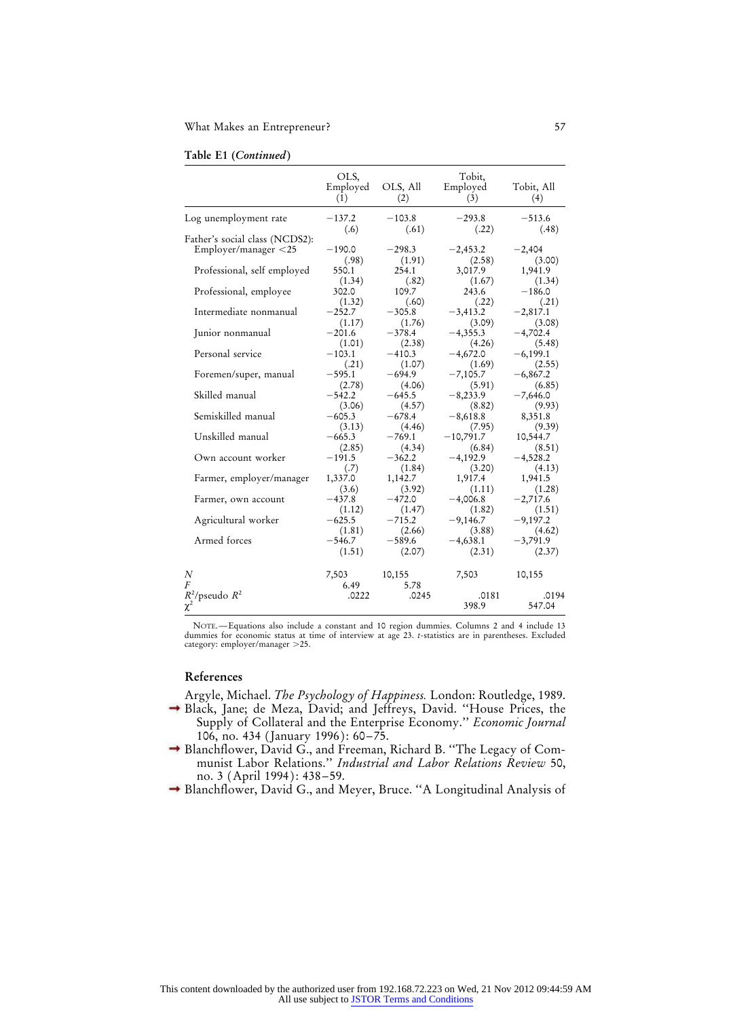|  | Table E1 (Continued) |
|--|----------------------|
|--|----------------------|

|                                | OLS,<br>Employed<br>(1) | OLS, All<br>(2)   | Tobit,<br>Employed<br>(3) | Tobit, All<br>(4) |
|--------------------------------|-------------------------|-------------------|---------------------------|-------------------|
| Log unemployment rate          | $-137.2$<br>(.6)        | $-103.8$<br>(.61) | $-293.8$<br>(.22)         | $-513.6$<br>(.48) |
| Father's social class (NCDS2): |                         |                   |                           |                   |
| Employer/manager <25           | $-190.0$                | $-298.3$          | $-2,453.2$                | $-2,404$          |
|                                | (.98)                   | (1.91)            | (2.58)                    | (3.00)            |
| Professional, self employed    | 550.1                   | 254.1             | 3,017.9                   | 1,941.9           |
|                                | (1.34)                  | (.82)             | (1.67)                    | (1.34)            |
| Professional, employee         | 302.0                   | 109.7             | 243.6                     | $-186.0$          |
|                                | (1.32)                  | (.60)             | (.22)                     | (.21)             |
| Intermediate nonmanual         | $-252.7$                | $-305.8$          | $-3,413.2$                | $-2,817.1$        |
|                                | (1.17)                  | (1.76)            | (3.09)                    | (3.08)            |
| Junior nonmanual               | $-201.6$                | $-378.4$          | $-4,355.3$                | $-4,702.4$        |
|                                | (1.01)                  | (2.38)            | (4.26)                    | (5.48)            |
| Personal service               | $-103.1$                | $-410.3$          | $-4,672.0$                | $-6,199.1$        |
|                                | (.21)                   | (1.07)            | (1.69)                    | (2.55)            |
| Foremen/super, manual          | $-595.1$                | $-694.9$          | $-7,105.7$                | $-6,867.2$        |
|                                | (2.78)                  | (4.06)            | (5.91)                    | (6.85)            |
| Skilled manual                 | $-542.2$                | $-645.5$          | $-8,233.9$                | $-7,646.0$        |
|                                | (3.06)                  | (4.57)            | (8.82)                    | (9.93)            |
| Semiskilled manual             | $-605.3$                | $-678.4$          | $-8,618.8$                | 8,351.8           |
|                                | (3.13)                  | (4.46)            | (7.95)                    | (9.39)            |
| Unskilled manual               | $-665.3$                | $-769.1$          | $-10,791.7$               | 10,544.7          |
|                                | (2.85)                  | (4.34)            | (6.84)                    | (8.51)            |
| Own account worker             | $-191.5$                | $-362.2$          | $-4,192.9$                | $-4,528.2$        |
|                                | (.7)                    | (1.84)            | (3.20)                    | (4.13)            |
| Farmer, employer/manager       | 1,337.0                 | 1,142.7           | 1,917.4                   | 1,941.5           |
|                                | (3.6)                   | (3.92)            | (1.11)                    | (1.28)            |
| Farmer, own account            | $-437.8$                | $-472.0$          | $-4,006.8$                | $-2,717.6$        |
|                                | (1.12)                  | (1.47)            | (1.82)                    | (1.51)            |
| Agricultural worker            | $-625.5$                | $-715.2$          | $-9,146.7$                | $-9,197.2$        |
|                                | (1.81)                  | (2.66)            | (3.88)                    | (4.62)            |
| Armed forces                   | $-546.7$                | $-589.6$          | $-4,638.1$                | $-3,791.9$        |
|                                | (1.51)                  | (2.07)            | (2.31)                    | (2.37)            |
| N                              | 7,503                   | 10,155            | 7,503                     | 10,155            |
| F                              | 6.49                    | 5.78              |                           |                   |
| $R^2$ /pseudo $R^2$            | .0222                   | .0245             | .0181                     | .0194             |
| $\chi^2$                       |                         |                   | 398.9                     | 547.04            |

NOTE.—Equations also include a constant and 10 region dummies. Columns 2 and 4 include 13 dummies for economic status at time of interview at age 23. *t*-statistics are in parentheses. Excluded  $\frac{1}{25}$  category: employer/manager  $>25$ .

# **References**

Argyle, Michael. *The Psychology of Happiness.* London: Routledge, 1989.

- Black, Jane; de Meza, David; and Jeffreys, David. ''House Prices, the Supply of Collateral and the Enterprise Economy.'' *Economic Journal* 106, no. 434 (January 1996): 60–75.
- Blanchflower, David G., and Freeman, Richard B. ''The Legacy of Communist Labor Relations.'' *Industrial and Labor Relations Review* 50, no. 3 (April 1994): 438–59.
- → Blanchflower, David G., and Meyer, Bruce. "A Longitudinal Analysis of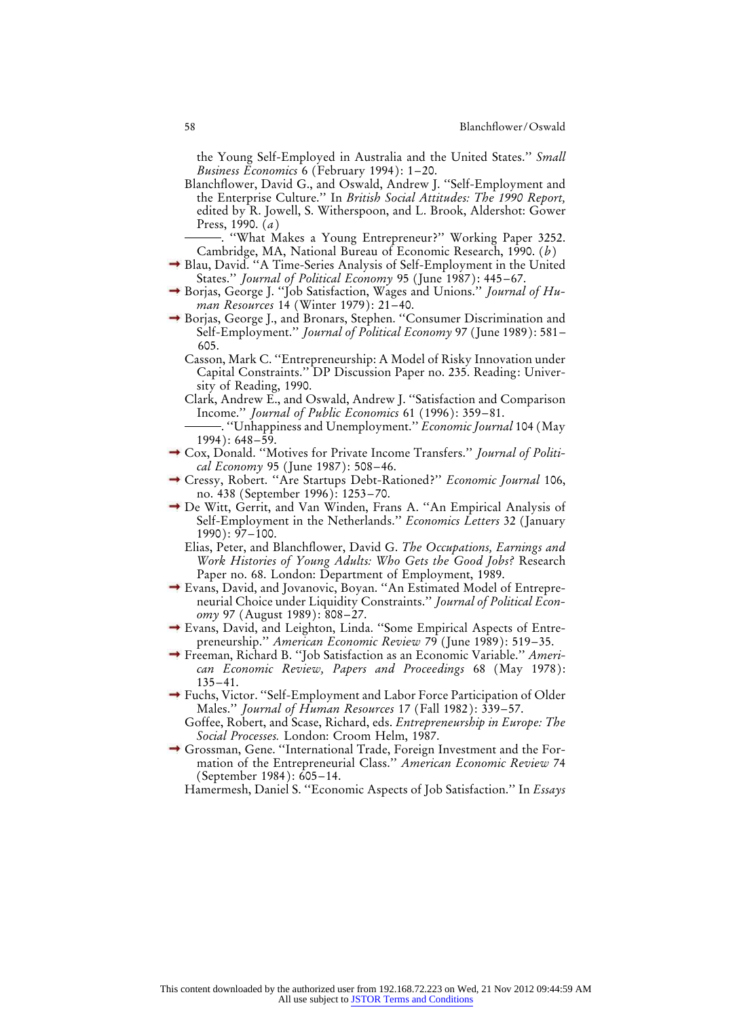the Young Self-Employed in Australia and the United States.'' *Small Business Economics* 6 (February 1994): 1–20.

- Blanchflower, David G., and Oswald, Andrew J. ''Self-Employment and the Enterprise Culture.'' In *British Social Attitudes: The 1990 Report,* edited by R. Jowell, S. Witherspoon, and L. Brook, Aldershot: Gower Press, 1990. (*a*)
- . ''What Makes a Young Entrepreneur?'' Working Paper 3252. Cambridge, MA, National Bureau of Economic Research, 1990. (*b*)
- Blau, David. ''A Time-Series Analysis of Self-Employment in the United States.'' *Journal of Political Economy* 95 (June 1987): 445–67.
- Borjas, George J. ''Job Satisfaction, Wages and Unions.'' *Journal of Human Resources* 14 (Winter 1979): 21–40.
- Borjas, George J., and Bronars, Stephen. ''Consumer Discrimination and Self-Employment.'' *Journal of Political Economy* 97 (June 1989): 581– 605.
	- Casson, Mark C. ''Entrepreneurship: A Model of Risky Innovation under Capital Constraints.'' DP Discussion Paper no. 235. Reading: University of Reading, 1990.
	- Clark, Andrew E., and Oswald, Andrew J. ''Satisfaction and Comparison Income.'' *Journal of Public Economics* 61 (1996): 359–81.
	- . ''Unhappiness and Unemployment.'' *Economic Journal* 104 (May  $1994$ : 648–59.
- Cox, Donald. ''Motives for Private Income Transfers.'' *Journal of Political Economy* 95 (June 1987): 508–46.
- Cressy, Robert. ''Are Startups Debt-Rationed?'' *Economic Journal* 106, no. 438 (September 1996): 1253–70.
- De Witt, Gerrit, and Van Winden, Frans A. ''An Empirical Analysis of Self-Employment in the Netherlands.'' *Economics Letters* 32 (January 1990): 97–100.
	- Elias, Peter, and Blanchflower, David G. *The Occupations, Earnings and Work Histories of Young Adults: Who Gets the Good Jobs?* Research Paper no. 68. London: Department of Employment, 1989.
- Evans, David, and Jovanovic, Boyan. ''An Estimated Model of Entrepreneurial Choice under Liquidity Constraints.'' *Journal of Political Economy* 97 (August 1989): 808–27.
- Evans, David, and Leighton, Linda. ''Some Empirical Aspects of Entrepreneurship.'' *American Economic Review* 79 (June 1989): 519–35.
- Freeman, Richard B. ''Job Satisfaction as an Economic Variable.'' *American Economic Review, Papers and Proceedings* 68 (May 1978): 135–41.
- Fuchs, Victor. ''Self-Employment and Labor Force Participation of Older Males.'' *Journal of Human Resources* 17 (Fall 1982): 339–57.
	- Goffee, Robert, and Scase, Richard, eds. *Entrepreneurship in Europe: The Social Processes.* London: Croom Helm, 1987.
- Grossman, Gene. ''International Trade, Foreign Investment and the Formation of the Entrepreneurial Class.'' *American Economic Review* 74 (September 1984): 605–14.

Hamermesh, Daniel S. ''Economic Aspects of Job Satisfaction.'' In *Essays*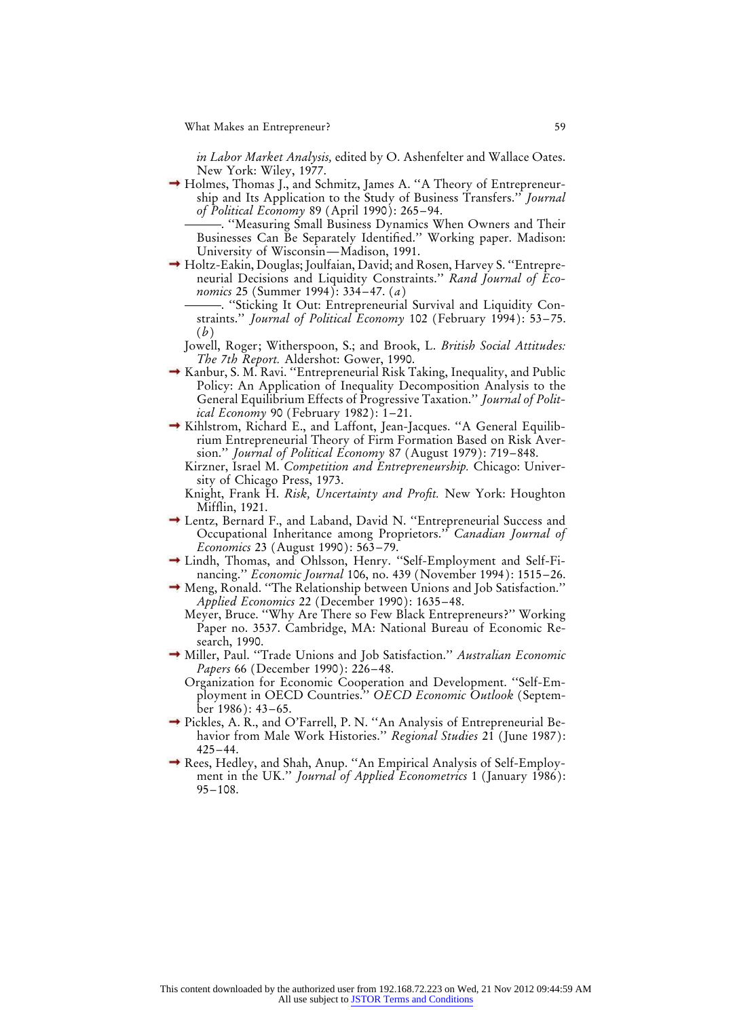*in Labor Market Analysis,* edited by O. Ashenfelter and Wallace Oates. New York: Wiley, 1977.

→ Holmes, Thomas J., and Schmitz, James A. "A Theory of Entrepreneurship and Its Application to the Study of Business Transfers.'' *Journal of Political Economy* 89 (April 1990): 265–94.

. ''Measuring Small Business Dynamics When Owners and Their Businesses Can Be Separately Identified.'' Working paper. Madison: University of Wisconsin—Madison, 1991.

- → Holtz-Eakin, Douglas; Joulfaian, David; and Rosen, Harvey S. "Entrepreneurial Decisions and Liquidity Constraints.'' *Rand Journal of Economics* 25 (Summer 1994): 334–47. (*a*)
	- . ''Sticking It Out: Entrepreneurial Survival and Liquidity Constraints.'' *Journal of Political Economy* 102 (February 1994): 53–75. (*b*)
	- Jowell, Roger; Witherspoon, S.; and Brook, L. *British Social Attitudes: The 7th Report.* Aldershot: Gower, 1990.
- $\rightarrow$  Kanbur, S. M. Ravi. "Entrepreneurial Risk Taking, Inequality, and Public Policy: An Application of Inequality Decomposition Analysis to the General Equilibrium Effects of Progressive Taxation.'' *Journal of Political Economy* 90 (February 1982): 1–21.
- Kihlstrom, Richard E., and Laffont, Jean-Jacques. ''A General Equilibrium Entrepreneurial Theory of Firm Formation Based on Risk Aversion.'' *Journal of Political Economy* 87 (August 1979): 719–848.
	- Kirzner, Israel M. *Competition and Entrepreneurship.* Chicago: University of Chicago Press, 1973.
	- Knight, Frank H. *Risk, Uncertainty and Profit.* New York: Houghton Mifflin, 1921.
- Lentz, Bernard F., and Laband, David N. ''Entrepreneurial Success and Occupational Inheritance among Proprietors.'' *Canadian Journal of Economics* 23 (August 1990): 563–79.
- Lindh, Thomas, and Ohlsson, Henry. ''Self-Employment and Self-Financing.'' *Economic Journal* 106, no. 439 (November 1994): 1515–26.
- Meng, Ronald. ''The Relationship between Unions and Job Satisfaction.'' *Applied Economics* 22 (December 1990): 1635–48.
	- Meyer, Bruce. ''Why Are There so Few Black Entrepreneurs?'' Working Paper no. 3537. Cambridge, MA: National Bureau of Economic Research, 1990.
- Miller, Paul. ''Trade Unions and Job Satisfaction.'' *Australian Economic Papers* 66 (December 1990): 226–48.
	- Organization for Economic Cooperation and Development. ''Self-Employment in OECD Countries.'' *OECD Economic Outlook* (September 1986): 43–65.
- $\rightarrow$  Pickles, A. R., and O'Farrell, P. N. "An Analysis of Entrepreneurial Behavior from Male Work Histories.'' *Regional Studies* 21 (June 1987): 425–44.
- Rees, Hedley, and Shah, Anup. ''An Empirical Analysis of Self-Employment in the UK.'' *Journal of Applied Econometrics* 1 (January 1986): 95–108.